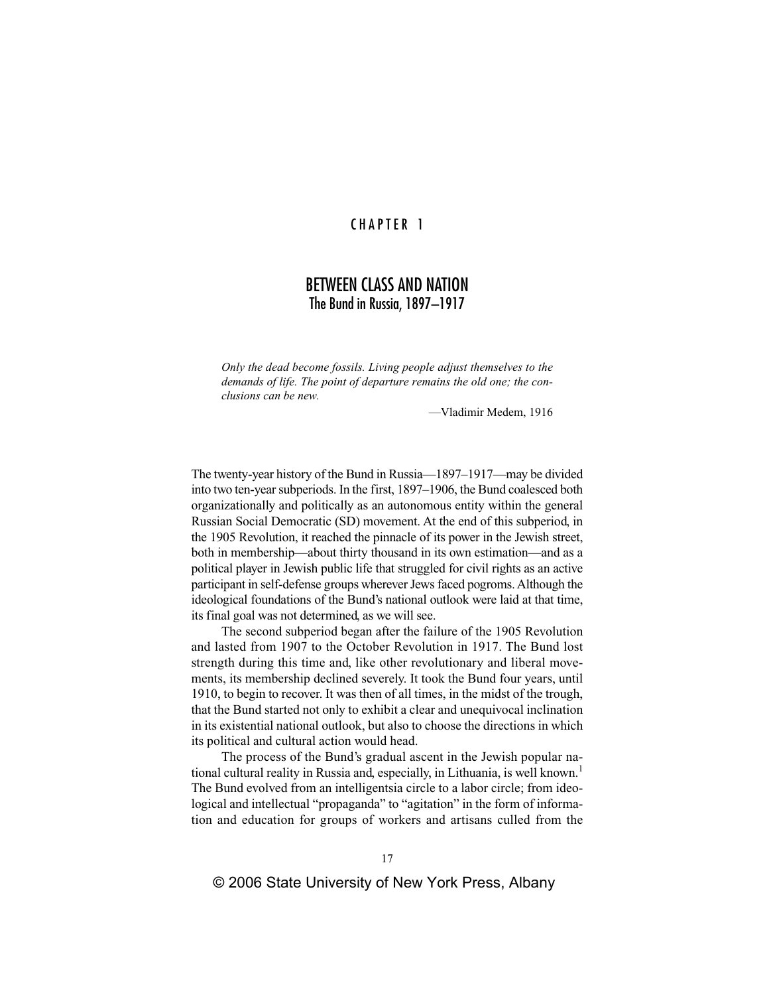## CHAPTER 1

# BETWEEN CLASS AND NATION The Bund in Russia, 1897–1917

*Only the dead become fossils. Living people adjust themselves to the demands of life. The point of departure remains the old one; the conclusions can be new.*

—Vladimir Medem, 1916

The twenty-year history of the Bund in Russia—1897–1917—may be divided into two ten-year subperiods. In the first, 1897–1906, the Bund coalesced both organizationally and politically as an autonomous entity within the general Russian Social Democratic (SD) movement. At the end of this subperiod, in the 1905 Revolution, it reached the pinnacle of its power in the Jewish street, both in membership—about thirty thousand in its own estimation—and as a political player in Jewish public life that struggled for civil rights as an active participant in self-defense groups wherever Jews faced pogroms. Although the ideological foundations of the Bund's national outlook were laid at that time, its final goal was not determined, as we will see.

The second subperiod began after the failure of the 1905 Revolution and lasted from 1907 to the October Revolution in 1917. The Bund lost strength during this time and, like other revolutionary and liberal movements, its membership declined severely. It took the Bund four years, until 1910, to begin to recover. It was then of all times, in the midst of the trough, that the Bund started not only to exhibit a clear and unequivocal inclination in its existential national outlook, but also to choose the directions in which its political and cultural action would head.

The process of the Bund's gradual ascent in the Jewish popular national cultural reality in Russia and, especially, in Lithuania, is well known.<sup>1</sup> The Bund evolved from an intelligentsia circle to a labor circle; from ideological and intellectual "propaganda" to "agitation" in the form of information and education for groups of workers and artisans culled from the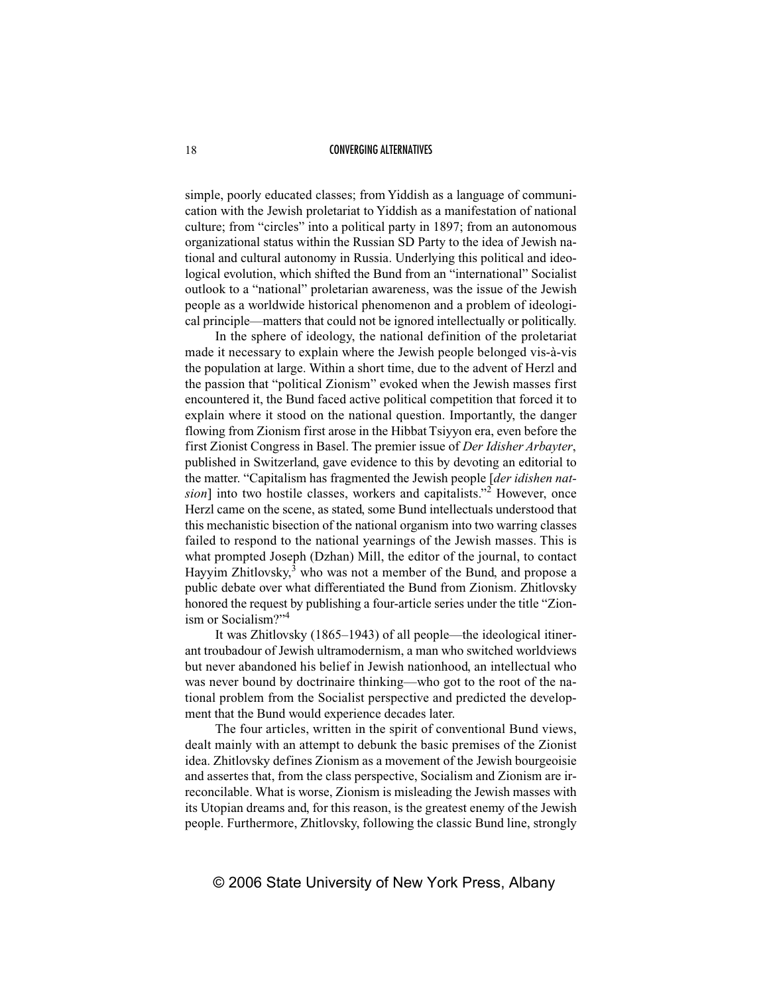simple, poorly educated classes; from Yiddish as a language of communication with the Jewish proletariat to Yiddish as a manifestation of national culture; from "circles" into a political party in 1897; from an autonomous organizational status within the Russian SD Party to the idea of Jewish national and cultural autonomy in Russia. Underlying this political and ideological evolution, which shifted the Bund from an "international" Socialist outlook to a "national" proletarian awareness, was the issue of the Jewish people as a worldwide historical phenomenon and a problem of ideological principle—matters that could not be ignored intellectually or politically.

In the sphere of ideology, the national definition of the proletariat made it necessary to explain where the Jewish people belonged vis-à-vis the population at large. Within a short time, due to the advent of Herzl and the passion that "political Zionism" evoked when the Jewish masses first encountered it, the Bund faced active political competition that forced it to explain where it stood on the national question. Importantly, the danger flowing from Zionism first arose in the Hibbat Tsiyyon era, even before the first Zionist Congress in Basel. The premier issue of *Der Idisher Arbayter*, published in Switzerland, gave evidence to this by devoting an editorial to the matter. "Capitalism has fragmented the Jewish people [*der idishen natsion*] into two hostile classes, workers and capitalists."<sup>2</sup> However, once Herzl came on the scene, as stated, some Bund intellectuals understood that this mechanistic bisection of the national organism into two warring classes failed to respond to the national yearnings of the Jewish masses. This is what prompted Joseph (Dzhan) Mill, the editor of the journal, to contact Hayyim Zhitlovsky, $3$  who was not a member of the Bund, and propose a public debate over what differentiated the Bund from Zionism. Zhitlovsky honored the request by publishing a four-article series under the title "Zionism or Socialism?"4

It was Zhitlovsky (1865–1943) of all people—the ideological itinerant troubadour of Jewish ultramodernism, a man who switched worldviews but never abandoned his belief in Jewish nationhood, an intellectual who was never bound by doctrinaire thinking—who got to the root of the national problem from the Socialist perspective and predicted the development that the Bund would experience decades later.

The four articles, written in the spirit of conventional Bund views, dealt mainly with an attempt to debunk the basic premises of the Zionist idea. Zhitlovsky defines Zionism as a movement of the Jewish bourgeoisie and assertes that, from the class perspective, Socialism and Zionism are irreconcilable. What is worse, Zionism is misleading the Jewish masses with its Utopian dreams and, for this reason, is the greatest enemy of the Jewish people. Furthermore, Zhitlovsky, following the classic Bund line, strongly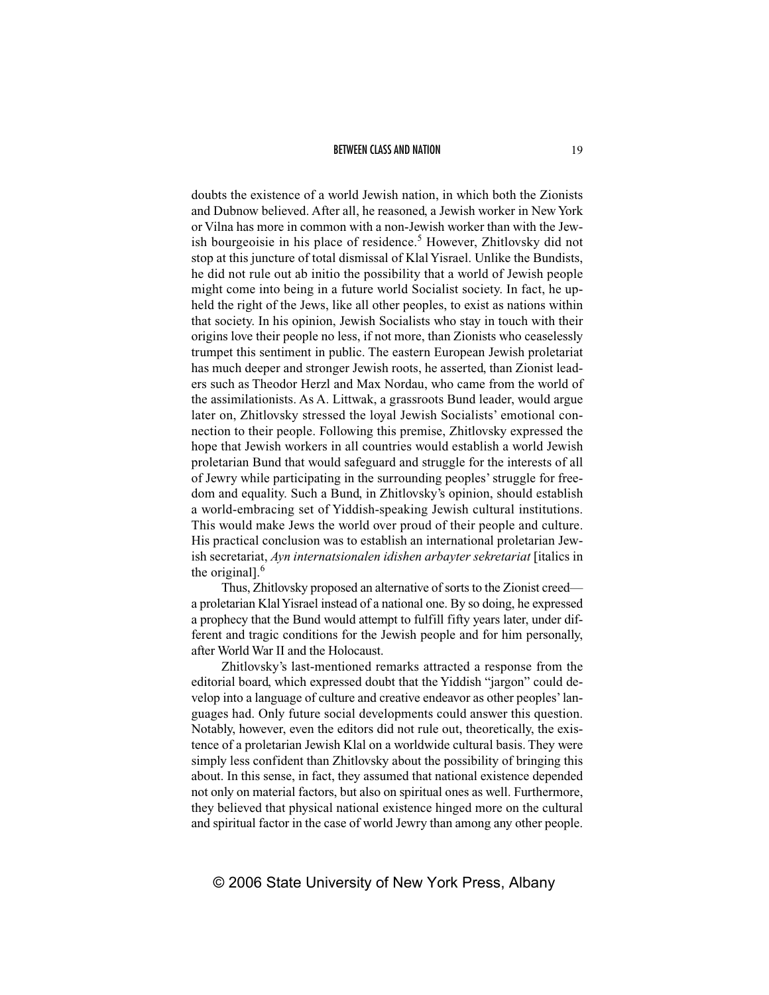doubts the existence of a world Jewish nation, in which both the Zionists and Dubnow believed. After all, he reasoned, a Jewish worker in New York or Vilna has more in common with a non-Jewish worker than with the Jewish bourgeoisie in his place of residence.<sup>5</sup> However, Zhitlovsky did not stop at this juncture of total dismissal of Klal Yisrael. Unlike the Bundists, he did not rule out ab initio the possibility that a world of Jewish people might come into being in a future world Socialist society. In fact, he upheld the right of the Jews, like all other peoples, to exist as nations within that society. In his opinion, Jewish Socialists who stay in touch with their origins love their people no less, if not more, than Zionists who ceaselessly trumpet this sentiment in public. The eastern European Jewish proletariat has much deeper and stronger Jewish roots, he asserted, than Zionist leaders such as Theodor Herzl and Max Nordau, who came from the world of the assimilationists. As A. Littwak, a grassroots Bund leader, would argue later on, Zhitlovsky stressed the loyal Jewish Socialists' emotional connection to their people. Following this premise, Zhitlovsky expressed the hope that Jewish workers in all countries would establish a world Jewish proletarian Bund that would safeguard and struggle for the interests of all of Jewry while participating in the surrounding peoples' struggle for freedom and equality. Such a Bund, in Zhitlovsky's opinion, should establish a world-embracing set of Yiddish-speaking Jewish cultural institutions. This would make Jews the world over proud of their people and culture. His practical conclusion was to establish an international proletarian Jewish secretariat, *Ayn internatsionalen idishen arbayter sekretariat* [italics in the original<sup>[6]</sup>

Thus, Zhitlovsky proposed an alternative of sorts to the Zionist creed a proletarian Klal Yisrael instead of a national one. By so doing, he expressed a prophecy that the Bund would attempt to fulfill fifty years later, under different and tragic conditions for the Jewish people and for him personally, after World War II and the Holocaust.

Zhitlovsky's last-mentioned remarks attracted a response from the editorial board, which expressed doubt that the Yiddish "jargon" could develop into a language of culture and creative endeavor as other peoples' languages had. Only future social developments could answer this question. Notably, however, even the editors did not rule out, theoretically, the existence of a proletarian Jewish Klal on a worldwide cultural basis. They were simply less confident than Zhitlovsky about the possibility of bringing this about. In this sense, in fact, they assumed that national existence depended not only on material factors, but also on spiritual ones as well. Furthermore, they believed that physical national existence hinged more on the cultural and spiritual factor in the case of world Jewry than among any other people.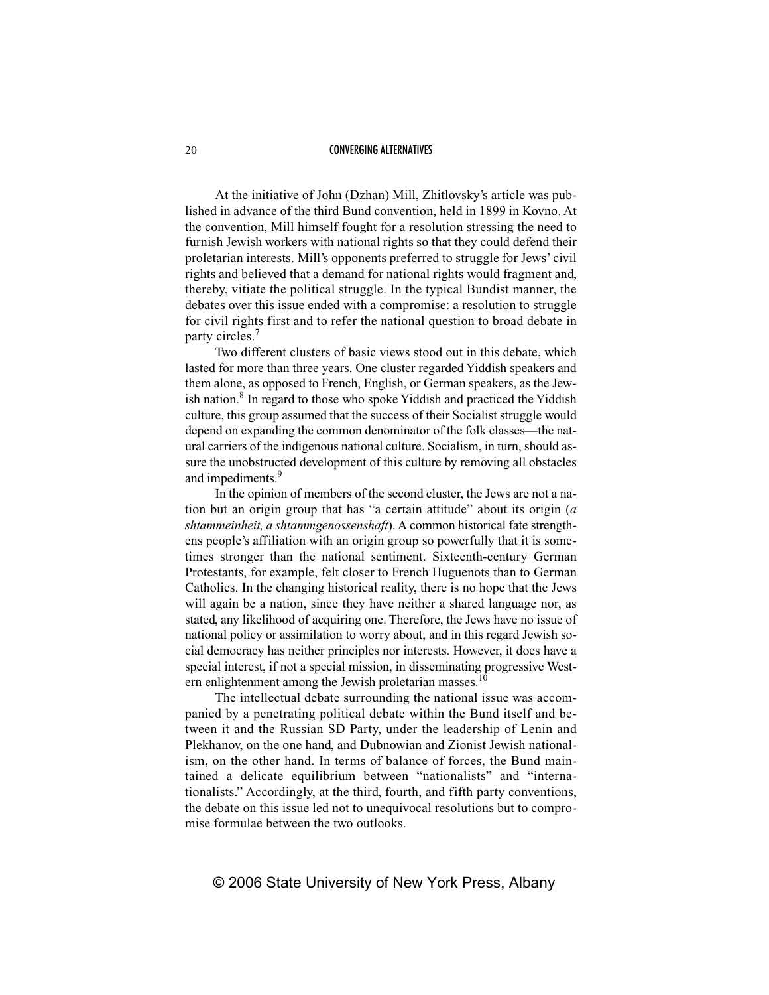At the initiative of John (Dzhan) Mill, Zhitlovsky's article was published in advance of the third Bund convention, held in 1899 in Kovno. At the convention, Mill himself fought for a resolution stressing the need to furnish Jewish workers with national rights so that they could defend their proletarian interests. Mill's opponents preferred to struggle for Jews' civil rights and believed that a demand for national rights would fragment and, thereby, vitiate the political struggle. In the typical Bundist manner, the debates over this issue ended with a compromise: a resolution to struggle for civil rights first and to refer the national question to broad debate in party circles.<sup>7</sup>

Two different clusters of basic views stood out in this debate, which lasted for more than three years. One cluster regarded Yiddish speakers and them alone, as opposed to French, English, or German speakers, as the Jewish nation.<sup>8</sup> In regard to those who spoke Yiddish and practiced the Yiddish culture, this group assumed that the success of their Socialist struggle would depend on expanding the common denominator of the folk classes—the natural carriers of the indigenous national culture. Socialism, in turn, should assure the unobstructed development of this culture by removing all obstacles and impediments.<sup>9</sup>

In the opinion of members of the second cluster, the Jews are not a nation but an origin group that has "a certain attitude" about its origin (*a shtammeinheit, a shtammgenossenshaft*). A common historical fate strengthens people's affiliation with an origin group so powerfully that it is sometimes stronger than the national sentiment. Sixteenth-century German Protestants, for example, felt closer to French Huguenots than to German Catholics. In the changing historical reality, there is no hope that the Jews will again be a nation, since they have neither a shared language nor, as stated, any likelihood of acquiring one. Therefore, the Jews have no issue of national policy or assimilation to worry about, and in this regard Jewish social democracy has neither principles nor interests. However, it does have a special interest, if not a special mission, in disseminating progressive Western enlightenment among the Jewish proletarian masses.<sup>10</sup>

The intellectual debate surrounding the national issue was accompanied by a penetrating political debate within the Bund itself and between it and the Russian SD Party, under the leadership of Lenin and Plekhanov, on the one hand, and Dubnowian and Zionist Jewish nationalism, on the other hand. In terms of balance of forces, the Bund maintained a delicate equilibrium between "nationalists" and "internationalists." Accordingly, at the third, fourth, and fifth party conventions, the debate on this issue led not to unequivocal resolutions but to compromise formulae between the two outlooks.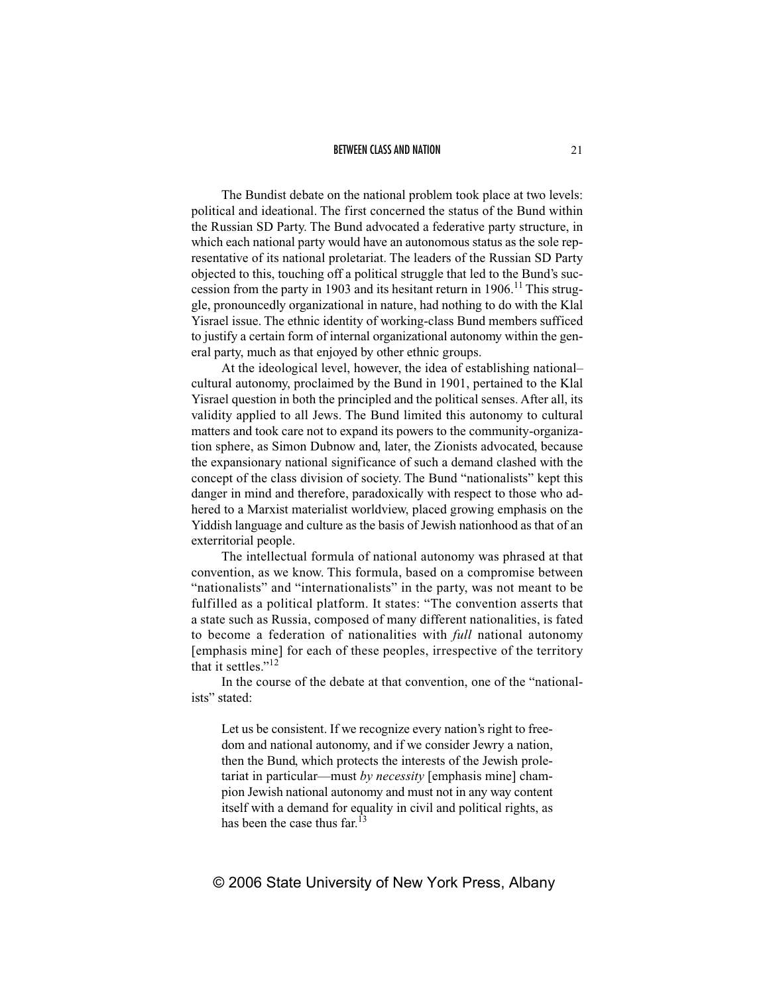The Bundist debate on the national problem took place at two levels: political and ideational. The first concerned the status of the Bund within the Russian SD Party. The Bund advocated a federative party structure, in which each national party would have an autonomous status as the sole representative of its national proletariat. The leaders of the Russian SD Party objected to this, touching off a political struggle that led to the Bund's succession from the party in 1903 and its hesitant return in 1906.<sup>11</sup> This struggle, pronouncedly organizational in nature, had nothing to do with the Klal Yisrael issue. The ethnic identity of working-class Bund members sufficed to justify a certain form of internal organizational autonomy within the general party, much as that enjoyed by other ethnic groups.

At the ideological level, however, the idea of establishing national– cultural autonomy, proclaimed by the Bund in 1901, pertained to the Klal Yisrael question in both the principled and the political senses. After all, its validity applied to all Jews. The Bund limited this autonomy to cultural matters and took care not to expand its powers to the community-organization sphere, as Simon Dubnow and, later, the Zionists advocated, because the expansionary national significance of such a demand clashed with the concept of the class division of society. The Bund "nationalists" kept this danger in mind and therefore, paradoxically with respect to those who adhered to a Marxist materialist worldview, placed growing emphasis on the Yiddish language and culture as the basis of Jewish nationhood as that of an exterritorial people.

The intellectual formula of national autonomy was phrased at that convention, as we know. This formula, based on a compromise between "nationalists" and "internationalists" in the party, was not meant to be fulfilled as a political platform. It states: "The convention asserts that a state such as Russia, composed of many different nationalities, is fated to become a federation of nationalities with *full* national autonomy [emphasis mine] for each of these peoples, irrespective of the territory that it settles<sup>"12"</sup>

In the course of the debate at that convention, one of the "nationalists" stated:

Let us be consistent. If we recognize every nation's right to freedom and national autonomy, and if we consider Jewry a nation, then the Bund, which protects the interests of the Jewish proletariat in particular—must *by necessity* [emphasis mine] champion Jewish national autonomy and must not in any way content itself with a demand for equality in civil and political rights, as has been the case thus  $\int$   $\frac{13}{3}$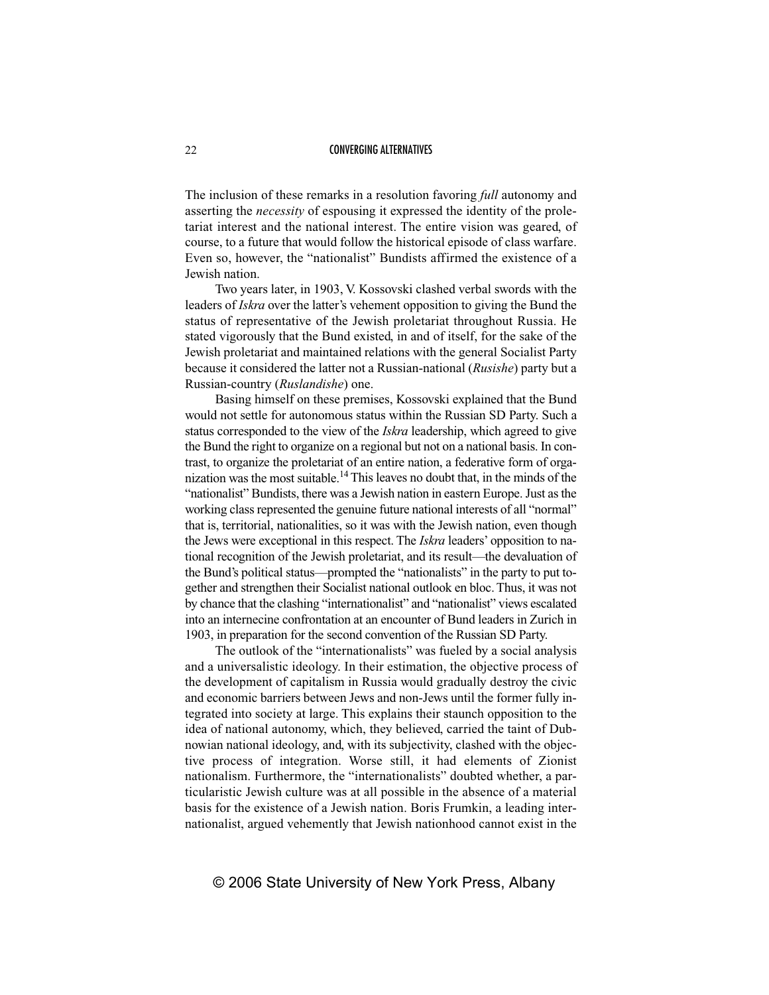The inclusion of these remarks in a resolution favoring *full* autonomy and asserting the *necessity* of espousing it expressed the identity of the proletariat interest and the national interest. The entire vision was geared, of course, to a future that would follow the historical episode of class warfare. Even so, however, the "nationalist" Bundists affirmed the existence of a Jewish nation.

Two years later, in 1903, V. Kossovski clashed verbal swords with the leaders of *Iskra* over the latter's vehement opposition to giving the Bund the status of representative of the Jewish proletariat throughout Russia. He stated vigorously that the Bund existed, in and of itself, for the sake of the Jewish proletariat and maintained relations with the general Socialist Party because it considered the latter not a Russian-national (*Rusishe*) party but a Russian-country (*Ruslandishe*) one.

Basing himself on these premises, Kossovski explained that the Bund would not settle for autonomous status within the Russian SD Party. Such a status corresponded to the view of the *Iskra* leadership, which agreed to give the Bund the right to organize on a regional but not on a national basis. In contrast, to organize the proletariat of an entire nation, a federative form of organization was the most suitable.<sup>14</sup> This leaves no doubt that, in the minds of the "nationalist" Bundists, there was a Jewish nation in eastern Europe. Just as the working class represented the genuine future national interests of all "normal" that is, territorial, nationalities, so it was with the Jewish nation, even though the Jews were exceptional in this respect. The *Iskra* leaders' opposition to national recognition of the Jewish proletariat, and its result—the devaluation of the Bund's political status—prompted the "nationalists" in the party to put together and strengthen their Socialist national outlook en bloc. Thus, it was not by chance that the clashing "internationalist" and "nationalist" views escalated into an internecine confrontation at an encounter of Bund leaders in Zurich in 1903, in preparation for the second convention of the Russian SD Party.

The outlook of the "internationalists" was fueled by a social analysis and a universalistic ideology. In their estimation, the objective process of the development of capitalism in Russia would gradually destroy the civic and economic barriers between Jews and non-Jews until the former fully integrated into society at large. This explains their staunch opposition to the idea of national autonomy, which, they believed, carried the taint of Dubnowian national ideology, and, with its subjectivity, clashed with the objective process of integration. Worse still, it had elements of Zionist nationalism. Furthermore, the "internationalists" doubted whether, a particularistic Jewish culture was at all possible in the absence of a material basis for the existence of a Jewish nation. Boris Frumkin, a leading internationalist, argued vehemently that Jewish nationhood cannot exist in the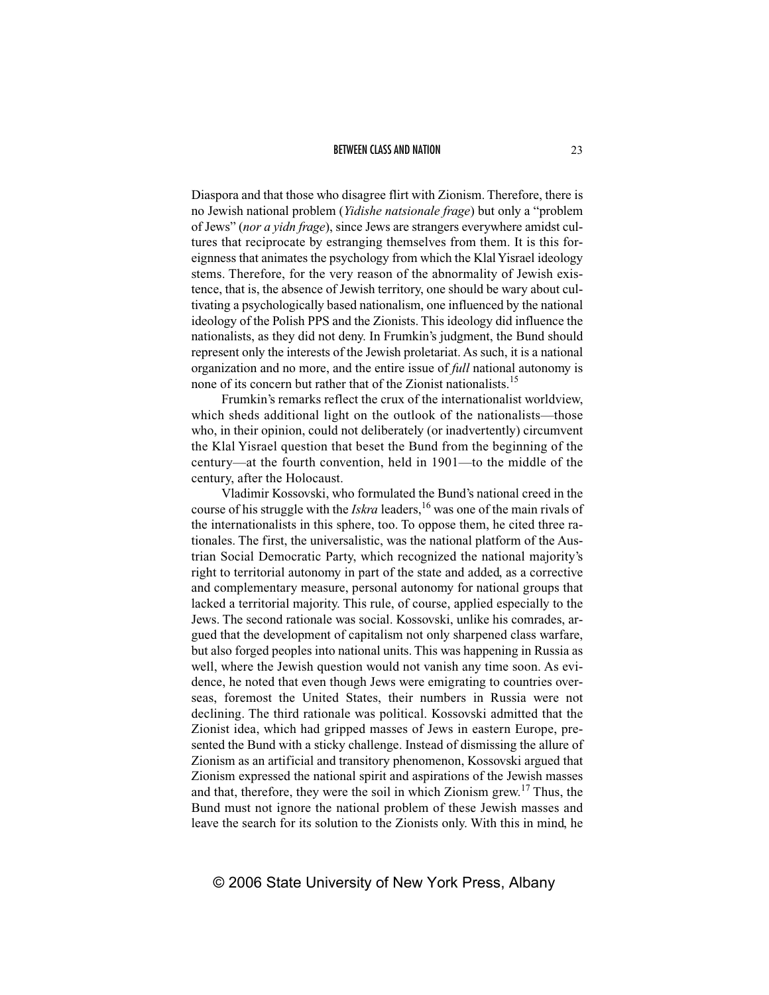Diaspora and that those who disagree flirt with Zionism. Therefore, there is no Jewish national problem (*Yidishe natsionale frage*) but only a "problem of Jews" (*nor a yidn frage*), since Jews are strangers everywhere amidst cultures that reciprocate by estranging themselves from them. It is this foreignness that animates the psychology from which the Klal Yisrael ideology stems. Therefore, for the very reason of the abnormality of Jewish existence, that is, the absence of Jewish territory, one should be wary about cultivating a psychologically based nationalism, one influenced by the national ideology of the Polish PPS and the Zionists. This ideology did influence the nationalists, as they did not deny. In Frumkin's judgment, the Bund should represent only the interests of the Jewish proletariat. As such, it is a national organization and no more, and the entire issue of *full* national autonomy is none of its concern but rather that of the Zionist nationalists.15

Frumkin's remarks reflect the crux of the internationalist worldview, which sheds additional light on the outlook of the nationalists—those who, in their opinion, could not deliberately (or inadvertently) circumvent the Klal Yisrael question that beset the Bund from the beginning of the century—at the fourth convention, held in 1901—to the middle of the century, after the Holocaust.

Vladimir Kossovski, who formulated the Bund's national creed in the course of his struggle with the *Iskra* leaders,<sup>16</sup> was one of the main rivals of the internationalists in this sphere, too. To oppose them, he cited three rationales. The first, the universalistic, was the national platform of the Austrian Social Democratic Party, which recognized the national majority's right to territorial autonomy in part of the state and added, as a corrective and complementary measure, personal autonomy for national groups that lacked a territorial majority. This rule, of course, applied especially to the Jews. The second rationale was social. Kossovski, unlike his comrades, argued that the development of capitalism not only sharpened class warfare, but also forged peoples into national units. This was happening in Russia as well, where the Jewish question would not vanish any time soon. As evidence, he noted that even though Jews were emigrating to countries overseas, foremost the United States, their numbers in Russia were not declining. The third rationale was political. Kossovski admitted that the Zionist idea, which had gripped masses of Jews in eastern Europe, presented the Bund with a sticky challenge. Instead of dismissing the allure of Zionism as an artificial and transitory phenomenon, Kossovski argued that Zionism expressed the national spirit and aspirations of the Jewish masses and that, therefore, they were the soil in which Zionism grew.<sup>17</sup> Thus, the Bund must not ignore the national problem of these Jewish masses and leave the search for its solution to the Zionists only. With this in mind, he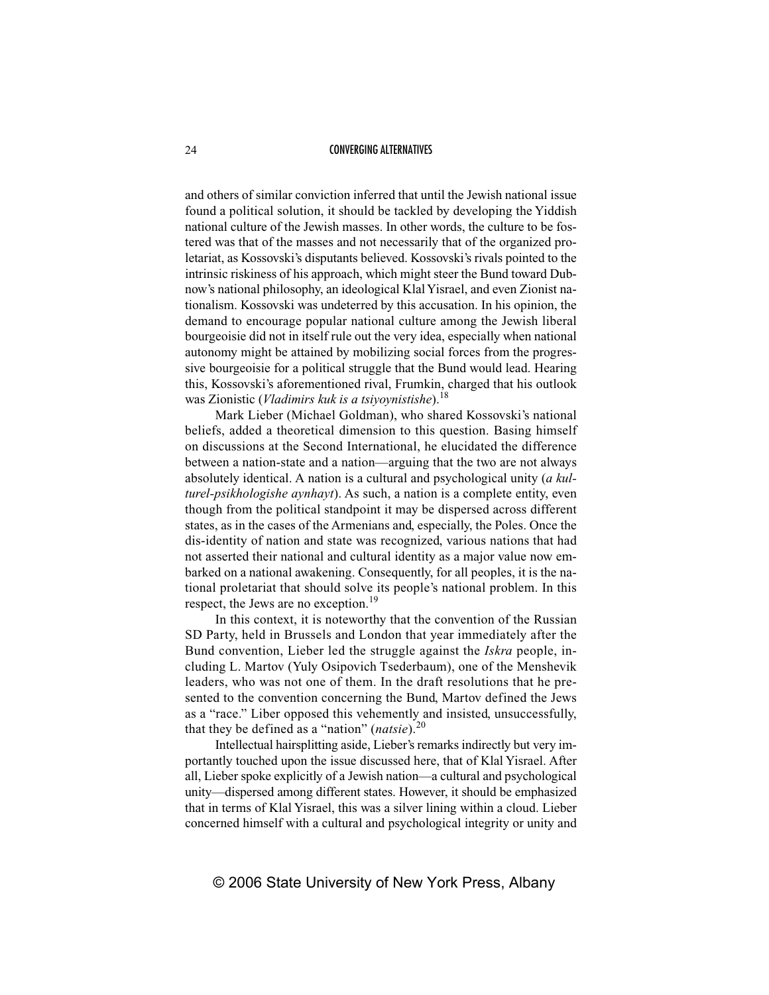and others of similar conviction inferred that until the Jewish national issue found a political solution, it should be tackled by developing the Yiddish national culture of the Jewish masses. In other words, the culture to be fostered was that of the masses and not necessarily that of the organized proletariat, as Kossovski's disputants believed. Kossovski's rivals pointed to the intrinsic riskiness of his approach, which might steer the Bund toward Dubnow's national philosophy, an ideological Klal Yisrael, and even Zionist nationalism. Kossovski was undeterred by this accusation. In his opinion, the demand to encourage popular national culture among the Jewish liberal bourgeoisie did not in itself rule out the very idea, especially when national autonomy might be attained by mobilizing social forces from the progressive bourgeoisie for a political struggle that the Bund would lead. Hearing this, Kossovski's aforementioned rival, Frumkin, charged that his outlook was Zionistic (*Vladimirs kuk is a tsiyoynistishe*).<sup>18</sup>

Mark Lieber (Michael Goldman), who shared Kossovski's national beliefs, added a theoretical dimension to this question. Basing himself on discussions at the Second International, he elucidated the difference between a nation-state and a nation—arguing that the two are not always absolutely identical. A nation is a cultural and psychological unity (*a kulturel-psikhologishe aynhayt*). As such, a nation is a complete entity, even though from the political standpoint it may be dispersed across different states, as in the cases of the Armenians and, especially, the Poles. Once the dis-identity of nation and state was recognized, various nations that had not asserted their national and cultural identity as a major value now embarked on a national awakening. Consequently, for all peoples, it is the national proletariat that should solve its people's national problem. In this respect, the Jews are no exception.<sup>19</sup>

In this context, it is noteworthy that the convention of the Russian SD Party, held in Brussels and London that year immediately after the Bund convention, Lieber led the struggle against the *Iskra* people, including L. Martov (Yuly Osipovich Tsederbaum), one of the Menshevik leaders, who was not one of them. In the draft resolutions that he presented to the convention concerning the Bund, Martov defined the Jews as a "race." Liber opposed this vehemently and insisted, unsuccessfully, that they be defined as a "nation" (*natsie*).<sup>20</sup>

Intellectual hairsplitting aside, Lieber's remarks indirectly but very importantly touched upon the issue discussed here, that of Klal Yisrael. After all, Lieber spoke explicitly of a Jewish nation—a cultural and psychological unity—dispersed among different states. However, it should be emphasized that in terms of Klal Yisrael, this was a silver lining within a cloud. Lieber concerned himself with a cultural and psychological integrity or unity and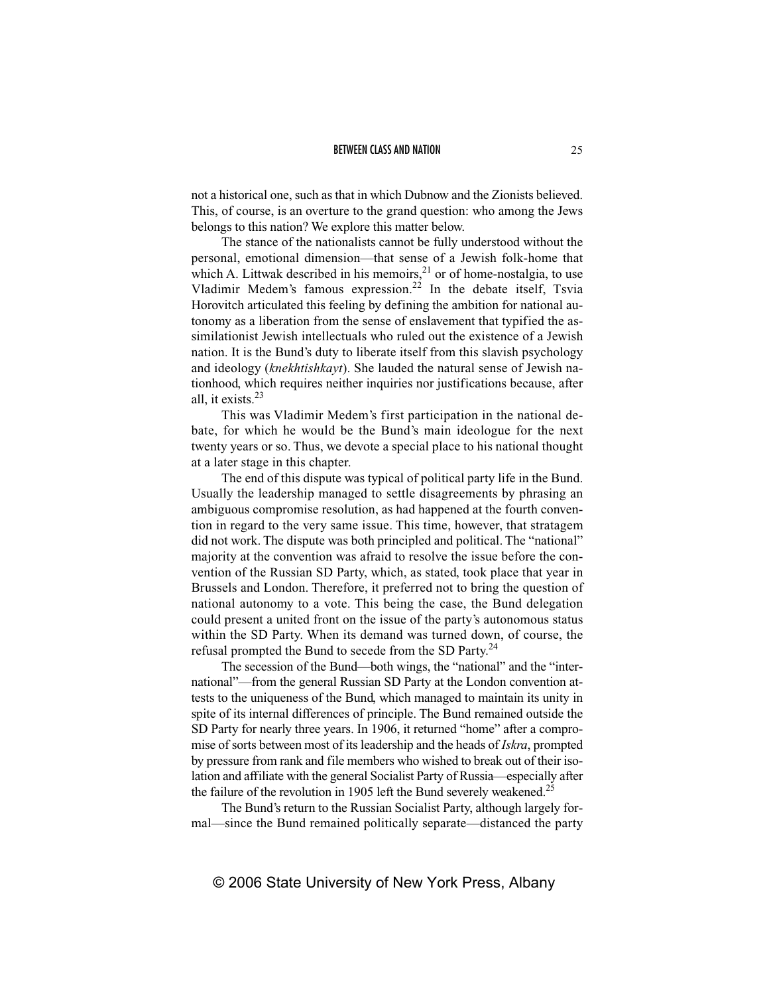not a historical one, such as that in which Dubnow and the Zionists believed. This, of course, is an overture to the grand question: who among the Jews belongs to this nation? We explore this matter below.

The stance of the nationalists cannot be fully understood without the personal, emotional dimension—that sense of a Jewish folk-home that which A. Littwak described in his memoirs, $^{21}$  or of home-nostalgia, to use Vladimir Medem's famous expression.<sup>22</sup> In the debate itself, Tsvia Horovitch articulated this feeling by defining the ambition for national autonomy as a liberation from the sense of enslavement that typified the assimilationist Jewish intellectuals who ruled out the existence of a Jewish nation. It is the Bund's duty to liberate itself from this slavish psychology and ideology (*knekhtishkayt*). She lauded the natural sense of Jewish nationhood, which requires neither inquiries nor justifications because, after all, it exists.23

This was Vladimir Medem's first participation in the national debate, for which he would be the Bund's main ideologue for the next twenty years or so. Thus, we devote a special place to his national thought at a later stage in this chapter.

The end of this dispute was typical of political party life in the Bund. Usually the leadership managed to settle disagreements by phrasing an ambiguous compromise resolution, as had happened at the fourth convention in regard to the very same issue. This time, however, that stratagem did not work. The dispute was both principled and political. The "national" majority at the convention was afraid to resolve the issue before the convention of the Russian SD Party, which, as stated, took place that year in Brussels and London. Therefore, it preferred not to bring the question of national autonomy to a vote. This being the case, the Bund delegation could present a united front on the issue of the party's autonomous status within the SD Party. When its demand was turned down, of course, the refusal prompted the Bund to secede from the SD Party.<sup>24</sup>

The secession of the Bund—both wings, the "national" and the "international"—from the general Russian SD Party at the London convention attests to the uniqueness of the Bund, which managed to maintain its unity in spite of its internal differences of principle. The Bund remained outside the SD Party for nearly three years. In 1906, it returned "home" after a compromise of sorts between most of its leadership and the heads of *Iskra*, prompted by pressure from rank and file members who wished to break out of their isolation and affiliate with the general Socialist Party of Russia—especially after the failure of the revolution in 1905 left the Bund severely weakened.<sup>25</sup>

The Bund's return to the Russian Socialist Party, although largely formal—since the Bund remained politically separate—distanced the party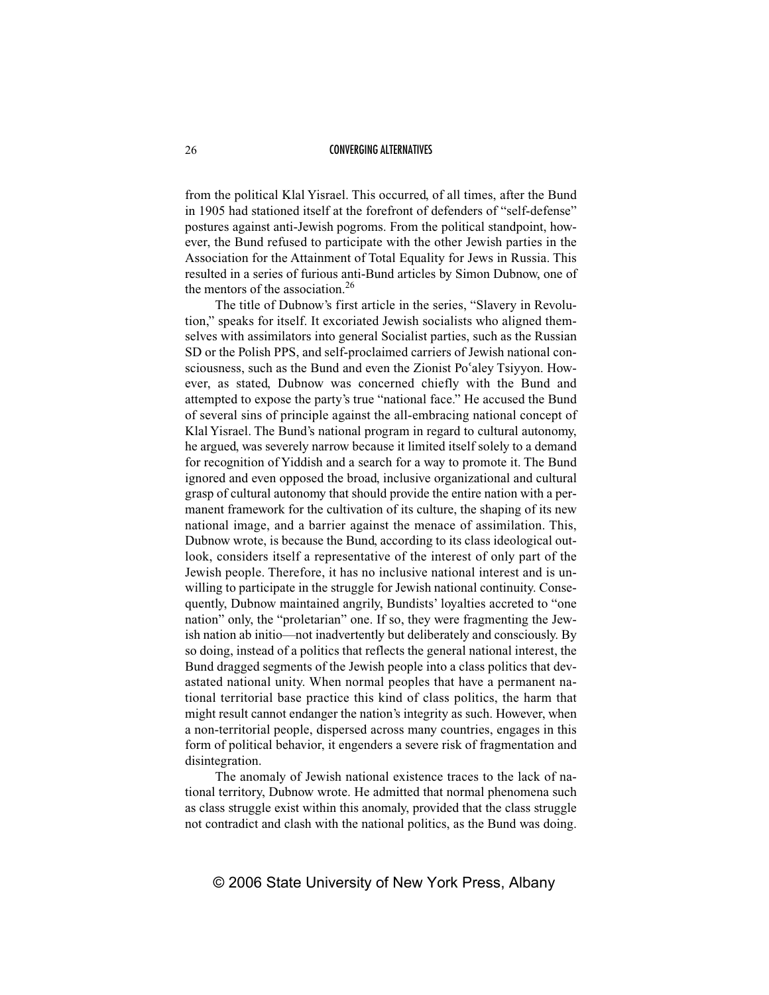from the political Klal Yisrael. This occurred, of all times, after the Bund in 1905 had stationed itself at the forefront of defenders of "self-defense" postures against anti-Jewish pogroms. From the political standpoint, however, the Bund refused to participate with the other Jewish parties in the Association for the Attainment of Total Equality for Jews in Russia. This resulted in a series of furious anti-Bund articles by Simon Dubnow, one of the mentors of the association.<sup>26</sup>

The title of Dubnow's first article in the series, "Slavery in Revolution," speaks for itself. It excoriated Jewish socialists who aligned themselves with assimilators into general Socialist parties, such as the Russian SD or the Polish PPS, and self-proclaimed carriers of Jewish national consciousness, such as the Bund and even the Zionist Po'aley Tsiyyon. However, as stated, Dubnow was concerned chiefly with the Bund and attempted to expose the party's true "national face." He accused the Bund of several sins of principle against the all-embracing national concept of Klal Yisrael. The Bund's national program in regard to cultural autonomy, he argued, was severely narrow because it limited itself solely to a demand for recognition of Yiddish and a search for a way to promote it. The Bund ignored and even opposed the broad, inclusive organizational and cultural grasp of cultural autonomy that should provide the entire nation with a permanent framework for the cultivation of its culture, the shaping of its new national image, and a barrier against the menace of assimilation. This, Dubnow wrote, is because the Bund, according to its class ideological outlook, considers itself a representative of the interest of only part of the Jewish people. Therefore, it has no inclusive national interest and is unwilling to participate in the struggle for Jewish national continuity. Consequently, Dubnow maintained angrily, Bundists' loyalties accreted to "one nation" only, the "proletarian" one. If so, they were fragmenting the Jewish nation ab initio—not inadvertently but deliberately and consciously. By so doing, instead of a politics that reflects the general national interest, the Bund dragged segments of the Jewish people into a class politics that devastated national unity. When normal peoples that have a permanent national territorial base practice this kind of class politics, the harm that might result cannot endanger the nation's integrity as such. However, when a non-territorial people, dispersed across many countries, engages in this form of political behavior, it engenders a severe risk of fragmentation and disintegration.

The anomaly of Jewish national existence traces to the lack of national territory, Dubnow wrote. He admitted that normal phenomena such as class struggle exist within this anomaly, provided that the class struggle not contradict and clash with the national politics, as the Bund was doing.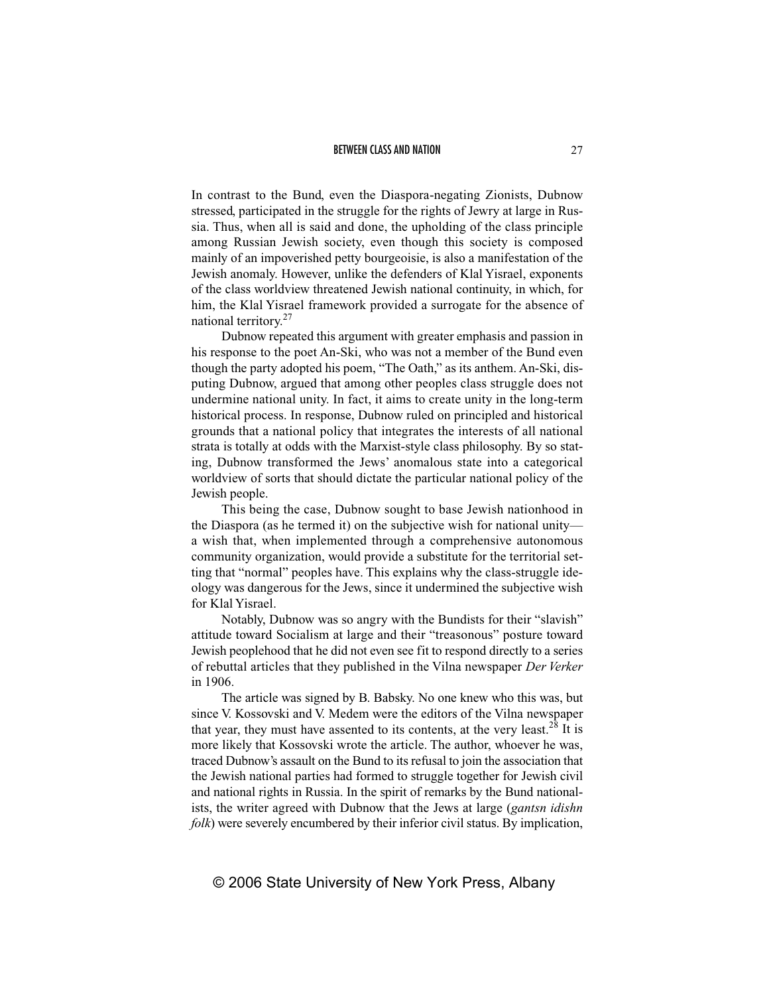In contrast to the Bund, even the Diaspora-negating Zionists, Dubnow stressed, participated in the struggle for the rights of Jewry at large in Russia. Thus, when all is said and done, the upholding of the class principle among Russian Jewish society, even though this society is composed mainly of an impoverished petty bourgeoisie, is also a manifestation of the Jewish anomaly. However, unlike the defenders of Klal Yisrael, exponents of the class worldview threatened Jewish national continuity, in which, for him, the Klal Yisrael framework provided a surrogate for the absence of national territory.<sup>27</sup>

Dubnow repeated this argument with greater emphasis and passion in his response to the poet An-Ski, who was not a member of the Bund even though the party adopted his poem, "The Oath," as its anthem. An-Ski, disputing Dubnow, argued that among other peoples class struggle does not undermine national unity. In fact, it aims to create unity in the long-term historical process. In response, Dubnow ruled on principled and historical grounds that a national policy that integrates the interests of all national strata is totally at odds with the Marxist-style class philosophy. By so stating, Dubnow transformed the Jews' anomalous state into a categorical worldview of sorts that should dictate the particular national policy of the Jewish people.

This being the case, Dubnow sought to base Jewish nationhood in the Diaspora (as he termed it) on the subjective wish for national unity a wish that, when implemented through a comprehensive autonomous community organization, would provide a substitute for the territorial setting that "normal" peoples have. This explains why the class-struggle ideology was dangerous for the Jews, since it undermined the subjective wish for Klal Yisrael.

Notably, Dubnow was so angry with the Bundists for their "slavish" attitude toward Socialism at large and their "treasonous" posture toward Jewish peoplehood that he did not even see fit to respond directly to a series of rebuttal articles that they published in the Vilna newspaper *Der Verker* in 1906.

The article was signed by B. Babsky. No one knew who this was, but since V. Kossovski and V. Medem were the editors of the Vilna newspaper that year, they must have assented to its contents, at the very least.<sup>28</sup> It is more likely that Kossovski wrote the article. The author, whoever he was, traced Dubnow's assault on the Bund to its refusal to join the association that the Jewish national parties had formed to struggle together for Jewish civil and national rights in Russia. In the spirit of remarks by the Bund nationalists, the writer agreed with Dubnow that the Jews at large (*gantsn idishn folk*) were severely encumbered by their inferior civil status. By implication,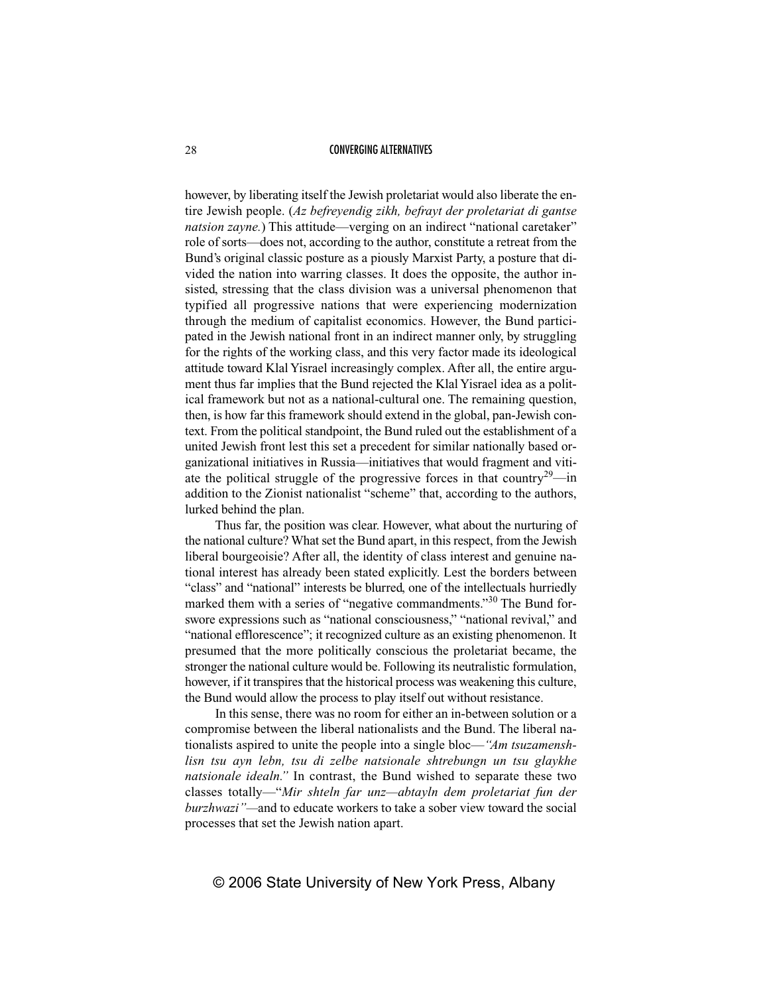however, by liberating itself the Jewish proletariat would also liberate the entire Jewish people. (*Az befreyendig zikh, befrayt der proletariat di gantse natsion zayne.*) This attitude—verging on an indirect "national caretaker" role of sorts—does not, according to the author, constitute a retreat from the Bund's original classic posture as a piously Marxist Party, a posture that divided the nation into warring classes. It does the opposite, the author insisted, stressing that the class division was a universal phenomenon that typified all progressive nations that were experiencing modernization through the medium of capitalist economics. However, the Bund participated in the Jewish national front in an indirect manner only, by struggling for the rights of the working class, and this very factor made its ideological attitude toward Klal Yisrael increasingly complex. After all, the entire argument thus far implies that the Bund rejected the Klal Yisrael idea as a political framework but not as a national-cultural one. The remaining question, then, is how far this framework should extend in the global, pan-Jewish context. From the political standpoint, the Bund ruled out the establishment of a united Jewish front lest this set a precedent for similar nationally based organizational initiatives in Russia—initiatives that would fragment and vitiate the political struggle of the progressive forces in that country<sup>29</sup>—in addition to the Zionist nationalist "scheme" that, according to the authors, lurked behind the plan.

Thus far, the position was clear. However, what about the nurturing of the national culture? What set the Bund apart, in this respect, from the Jewish liberal bourgeoisie? After all, the identity of class interest and genuine national interest has already been stated explicitly. Lest the borders between "class" and "national" interests be blurred, one of the intellectuals hurriedly marked them with a series of "negative commandments."<sup>30</sup> The Bund forswore expressions such as "national consciousness," "national revival," and "national efflorescence"; it recognized culture as an existing phenomenon. It presumed that the more politically conscious the proletariat became, the stronger the national culture would be. Following its neutralistic formulation, however, if it transpires that the historical process was weakening this culture, the Bund would allow the process to play itself out without resistance.

In this sense, there was no room for either an in-between solution or a compromise between the liberal nationalists and the Bund. The liberal nationalists aspired to unite the people into a single bloc—*"Am tsuzamenshlisn tsu ayn lebn, tsu di zelbe natsionale shtrebungn un tsu glaykhe natsionale idealn."* In contrast, the Bund wished to separate these two classes totally—"*Mir shteln far unz—abtayln dem proletariat fun der burzhwazi"—*and to educate workers to take a sober view toward the social processes that set the Jewish nation apart.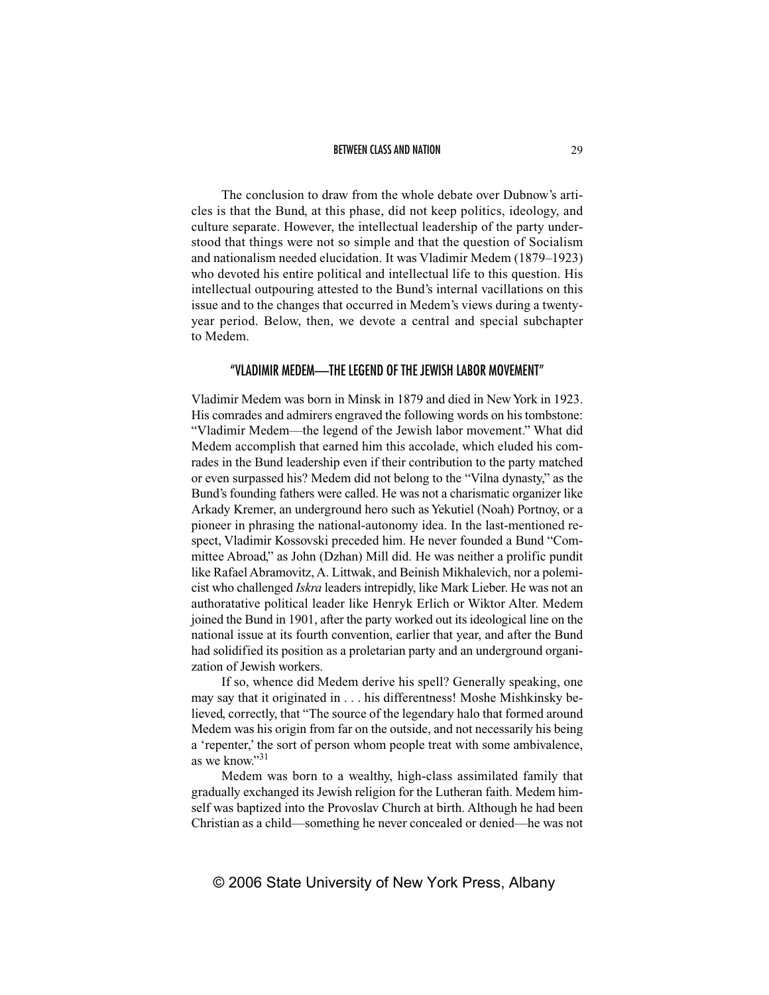The conclusion to draw from the whole debate over Dubnow's articles is that the Bund, at this phase, did not keep politics, ideology, and culture separate. However, the intellectual leadership of the party understood that things were not so simple and that the question of Socialism and nationalism needed elucidation. It was Vladimir Medem (1879–1923) who devoted his entire political and intellectual life to this question. His intellectual outpouring attested to the Bund's internal vacillations on this issue and to the changes that occurred in Medem's views during a twentyyear period. Below, then, we devote a central and special subchapter to Medem.

### "VLADIMIR MEDEM—THE LEGEND OF THE JEWISH LABOR MOVEMENT"

Vladimir Medem was born in Minsk in 1879 and died in New York in 1923. His comrades and admirers engraved the following words on his tombstone: "Vladimir Medem—the legend of the Jewish labor movement." What did Medem accomplish that earned him this accolade, which eluded his comrades in the Bund leadership even if their contribution to the party matched or even surpassed his? Medem did not belong to the "Vilna dynasty," as the Bund's founding fathers were called. He was not a charismatic organizer like Arkady Kremer, an underground hero such as Yekutiel (Noah) Portnoy, or a pioneer in phrasing the national-autonomy idea. In the last-mentioned respect, Vladimir Kossovski preceded him. He never founded a Bund "Committee Abroad," as John (Dzhan) Mill did. He was neither a prolific pundit like Rafael Abramovitz, A. Littwak, and Beinish Mikhalevich, nor a polemicist who challenged *Iskra* leaders intrepidly, like Mark Lieber. He was not an authoratative political leader like Henryk Erlich or Wiktor Alter. Medem joined the Bund in 1901, after the party worked out its ideological line on the national issue at its fourth convention, earlier that year, and after the Bund had solidified its position as a proletarian party and an underground organization of Jewish workers.

If so, whence did Medem derive his spell? Generally speaking, one may say that it originated in . . . his differentness! Moshe Mishkinsky believed, correctly, that "The source of the legendary halo that formed around Medem was his origin from far on the outside, and not necessarily his being a 'repenter,' the sort of person whom people treat with some ambivalence, as we know" $31$ 

Medem was born to a wealthy, high-class assimilated family that gradually exchanged its Jewish religion for the Lutheran faith. Medem himself was baptized into the Provoslav Church at birth. Although he had been Christian as a child—something he never concealed or denied—he was not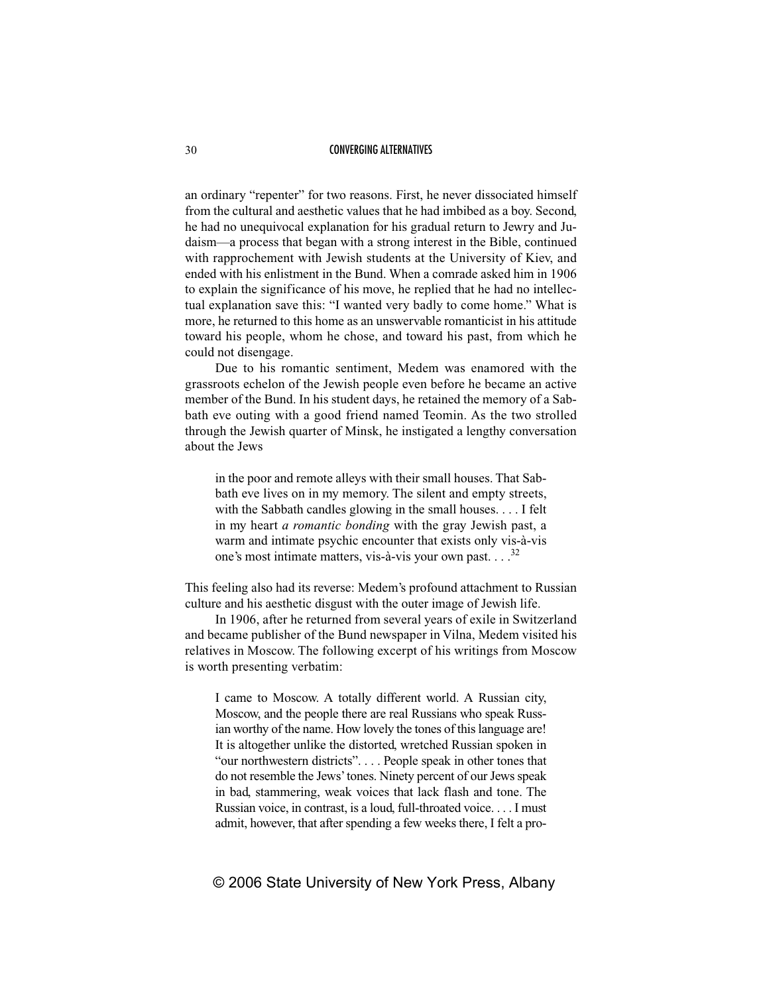an ordinary "repenter" for two reasons. First, he never dissociated himself from the cultural and aesthetic values that he had imbibed as a boy. Second, he had no unequivocal explanation for his gradual return to Jewry and Judaism—a process that began with a strong interest in the Bible, continued with rapprochement with Jewish students at the University of Kiev, and ended with his enlistment in the Bund. When a comrade asked him in 1906 to explain the significance of his move, he replied that he had no intellectual explanation save this: "I wanted very badly to come home." What is more, he returned to this home as an unswervable romanticist in his attitude toward his people, whom he chose, and toward his past, from which he could not disengage.

Due to his romantic sentiment, Medem was enamored with the grassroots echelon of the Jewish people even before he became an active member of the Bund. In his student days, he retained the memory of a Sabbath eve outing with a good friend named Teomin. As the two strolled through the Jewish quarter of Minsk, he instigated a lengthy conversation about the Jews

in the poor and remote alleys with their small houses. That Sabbath eve lives on in my memory. The silent and empty streets, with the Sabbath candles glowing in the small houses. . . . I felt in my heart *a romantic bonding* with the gray Jewish past, a warm and intimate psychic encounter that exists only vis-à-vis one's most intimate matters, vis-à-vis your own past. . . .<sup>32</sup>

This feeling also had its reverse: Medem's profound attachment to Russian culture and his aesthetic disgust with the outer image of Jewish life.

In 1906, after he returned from several years of exile in Switzerland and became publisher of the Bund newspaper in Vilna, Medem visited his relatives in Moscow. The following excerpt of his writings from Moscow is worth presenting verbatim:

I came to Moscow. A totally different world. A Russian city, Moscow, and the people there are real Russians who speak Russian worthy of the name. How lovely the tones of this language are! It is altogether unlike the distorted, wretched Russian spoken in "our northwestern districts". . . . People speak in other tones that do not resemble the Jews'tones. Ninety percent of our Jews speak in bad, stammering, weak voices that lack flash and tone. The Russian voice, in contrast, is a loud, full-throated voice. . . . I must admit, however, that after spending a few weeks there, I felt a pro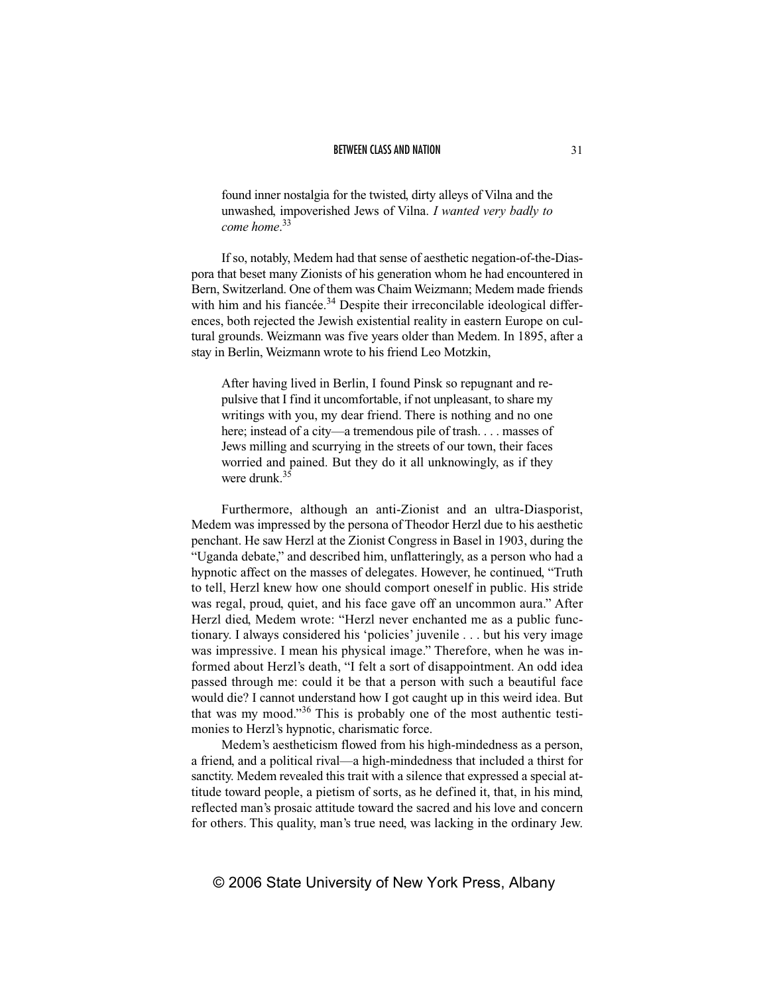found inner nostalgia for the twisted, dirty alleys of Vilna and the unwashed, impoverished Jews of Vilna. *I wanted very badly to come home*. 33

If so, notably, Medem had that sense of aesthetic negation-of-the-Diaspora that beset many Zionists of his generation whom he had encountered in Bern, Switzerland. One of them was Chaim Weizmann; Medem made friends with him and his fiancée.<sup>34</sup> Despite their irreconcilable ideological differences, both rejected the Jewish existential reality in eastern Europe on cultural grounds. Weizmann was five years older than Medem. In 1895, after a stay in Berlin, Weizmann wrote to his friend Leo Motzkin,

After having lived in Berlin, I found Pinsk so repugnant and repulsive that I find it uncomfortable, if not unpleasant, to share my writings with you, my dear friend. There is nothing and no one here; instead of a city—a tremendous pile of trash. . . . masses of Jews milling and scurrying in the streets of our town, their faces worried and pained. But they do it all unknowingly, as if they were drunk  $35$ 

Furthermore, although an anti-Zionist and an ultra-Diasporist, Medem was impressed by the persona of Theodor Herzl due to his aesthetic penchant. He saw Herzl at the Zionist Congress in Basel in 1903, during the "Uganda debate," and described him, unflatteringly, as a person who had a hypnotic affect on the masses of delegates. However, he continued, "Truth to tell, Herzl knew how one should comport oneself in public. His stride was regal, proud, quiet, and his face gave off an uncommon aura." After Herzl died, Medem wrote: "Herzl never enchanted me as a public functionary. I always considered his 'policies' juvenile . . . but his very image was impressive. I mean his physical image." Therefore, when he was informed about Herzl's death, "I felt a sort of disappointment. An odd idea passed through me: could it be that a person with such a beautiful face would die? I cannot understand how I got caught up in this weird idea. But that was my mood."<sup>36</sup> This is probably one of the most authentic testimonies to Herzl's hypnotic, charismatic force.

Medem's aestheticism flowed from his high-mindedness as a person, a friend, and a political rival—a high-mindedness that included a thirst for sanctity. Medem revealed this trait with a silence that expressed a special attitude toward people, a pietism of sorts, as he defined it, that, in his mind, reflected man's prosaic attitude toward the sacred and his love and concern for others. This quality, man's true need, was lacking in the ordinary Jew.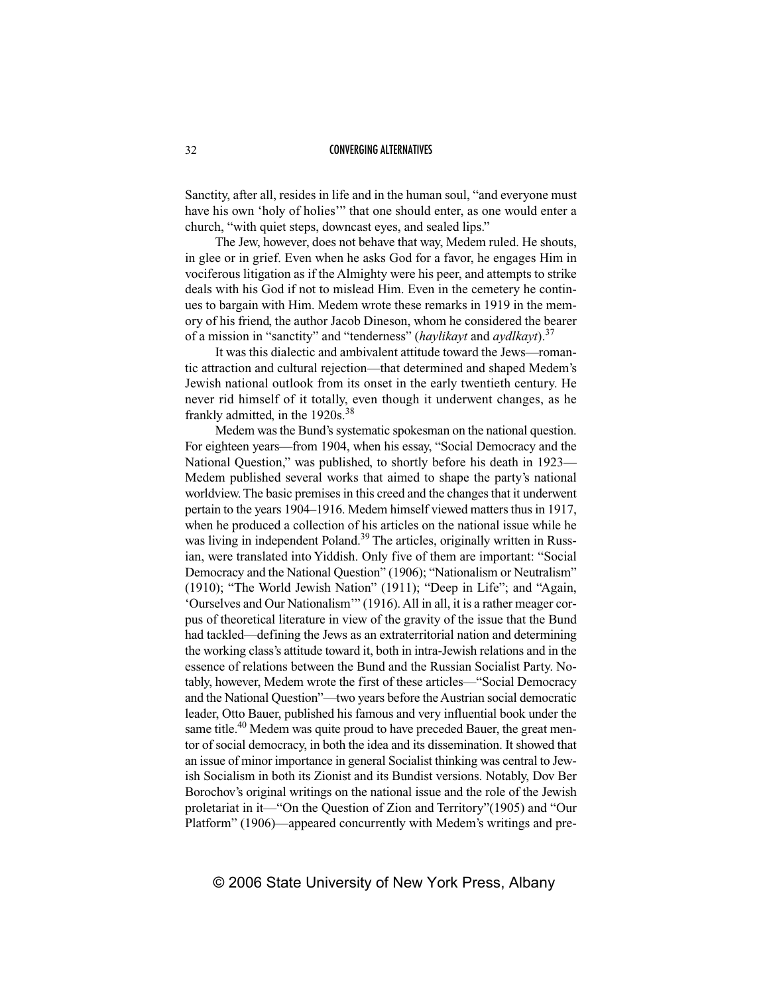Sanctity, after all, resides in life and in the human soul, "and everyone must have his own 'holy of holies'" that one should enter, as one would enter a church, "with quiet steps, downcast eyes, and sealed lips."

The Jew, however, does not behave that way, Medem ruled. He shouts, in glee or in grief. Even when he asks God for a favor, he engages Him in vociferous litigation as if the Almighty were his peer, and attempts to strike deals with his God if not to mislead Him. Even in the cemetery he continues to bargain with Him. Medem wrote these remarks in 1919 in the memory of his friend, the author Jacob Dineson, whom he considered the bearer of a mission in "sanctity" and "tenderness" (*haylikayt* and *aydlkayt*).<sup>37</sup>

It was this dialectic and ambivalent attitude toward the Jews—romantic attraction and cultural rejection—that determined and shaped Medem's Jewish national outlook from its onset in the early twentieth century. He never rid himself of it totally, even though it underwent changes, as he frankly admitted, in the 1920s.<sup>38</sup>

Medem was the Bund's systematic spokesman on the national question. For eighteen years—from 1904, when his essay, "Social Democracy and the National Question," was published, to shortly before his death in 1923— Medem published several works that aimed to shape the party's national worldview. The basic premises in this creed and the changes that it underwent pertain to the years 1904–1916. Medem himself viewed matters thus in 1917, when he produced a collection of his articles on the national issue while he was living in independent Poland.<sup>39</sup> The articles, originally written in Russian, were translated into Yiddish. Only five of them are important: "Social Democracy and the National Question" (1906); "Nationalism or Neutralism" (1910); "The World Jewish Nation" (1911); "Deep in Life"; and "Again, 'Ourselves and Our Nationalism'" (1916). All in all, it is a rather meager corpus of theoretical literature in view of the gravity of the issue that the Bund had tackled—defining the Jews as an extraterritorial nation and determining the working class's attitude toward it, both in intra-Jewish relations and in the essence of relations between the Bund and the Russian Socialist Party. Notably, however, Medem wrote the first of these articles—"Social Democracy and the National Question"—two years before the Austrian social democratic leader, Otto Bauer, published his famous and very influential book under the same title.<sup>40</sup> Medem was quite proud to have preceded Bauer, the great mentor of social democracy, in both the idea and its dissemination. It showed that an issue of minor importance in general Socialist thinking was central to Jewish Socialism in both its Zionist and its Bundist versions. Notably, Dov Ber Borochov's original writings on the national issue and the role of the Jewish proletariat in it—"On the Question of Zion and Territory"(1905) and "Our Platform" (1906)—appeared concurrently with Medem's writings and pre-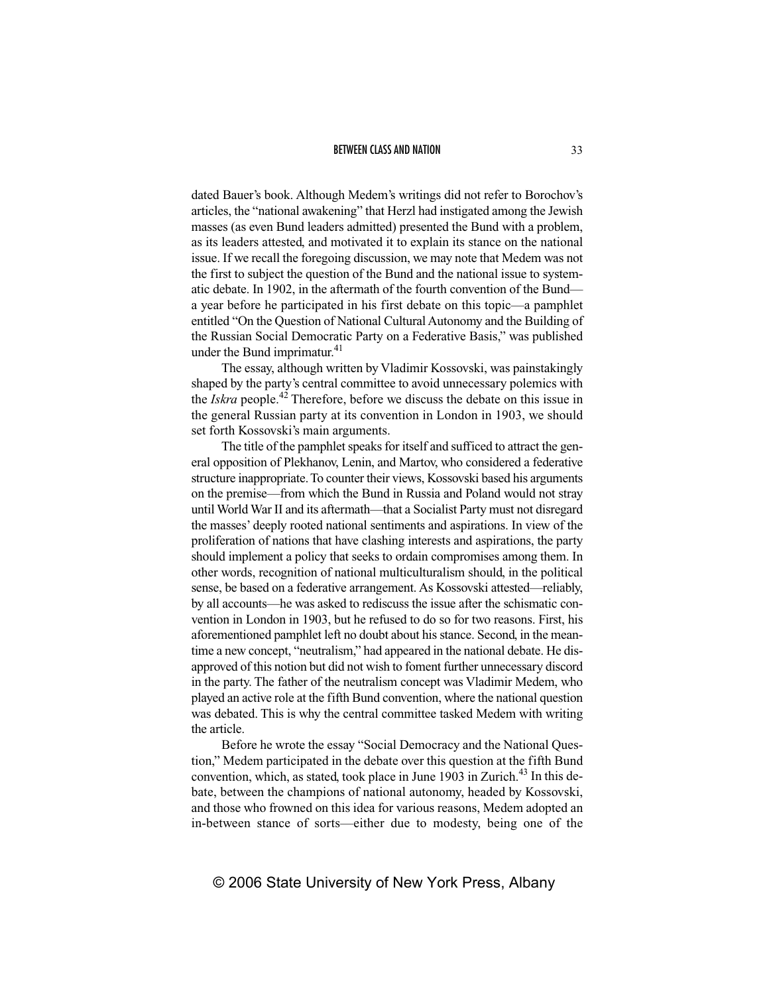dated Bauer's book. Although Medem's writings did not refer to Borochov's articles, the "national awakening" that Herzl had instigated among the Jewish masses (as even Bund leaders admitted) presented the Bund with a problem, as its leaders attested, and motivated it to explain its stance on the national issue. If we recall the foregoing discussion, we may note that Medem was not the first to subject the question of the Bund and the national issue to systematic debate. In 1902, in the aftermath of the fourth convention of the Bund a year before he participated in his first debate on this topic—a pamphlet entitled "On the Question of National Cultural Autonomy and the Building of the Russian Social Democratic Party on a Federative Basis," was published under the Bund imprimatur.<sup>41</sup>

The essay, although written by Vladimir Kossovski, was painstakingly shaped by the party's central committee to avoid unnecessary polemics with the *Iskra* people.<sup>42</sup> Therefore, before we discuss the debate on this issue in the general Russian party at its convention in London in 1903, we should set forth Kossovski's main arguments.

The title of the pamphlet speaks for itself and sufficed to attract the general opposition of Plekhanov, Lenin, and Martov, who considered a federative structure inappropriate. To counter their views, Kossovski based his arguments on the premise—from which the Bund in Russia and Poland would not stray until World War II and its aftermath—that a Socialist Party must not disregard the masses' deeply rooted national sentiments and aspirations. In view of the proliferation of nations that have clashing interests and aspirations, the party should implement a policy that seeks to ordain compromises among them. In other words, recognition of national multiculturalism should, in the political sense, be based on a federative arrangement. As Kossovski attested—reliably, by all accounts—he was asked to rediscuss the issue after the schismatic convention in London in 1903, but he refused to do so for two reasons. First, his aforementioned pamphlet left no doubt about his stance. Second, in the meantime a new concept, "neutralism," had appeared in the national debate. He disapproved of this notion but did not wish to foment further unnecessary discord in the party. The father of the neutralism concept was Vladimir Medem, who played an active role at the fifth Bund convention, where the national question was debated. This is why the central committee tasked Medem with writing the article.

Before he wrote the essay "Social Democracy and the National Question," Medem participated in the debate over this question at the fifth Bund convention, which, as stated, took place in June 1903 in Zurich.<sup>43</sup> In this debate, between the champions of national autonomy, headed by Kossovski, and those who frowned on this idea for various reasons, Medem adopted an in-between stance of sorts—either due to modesty, being one of the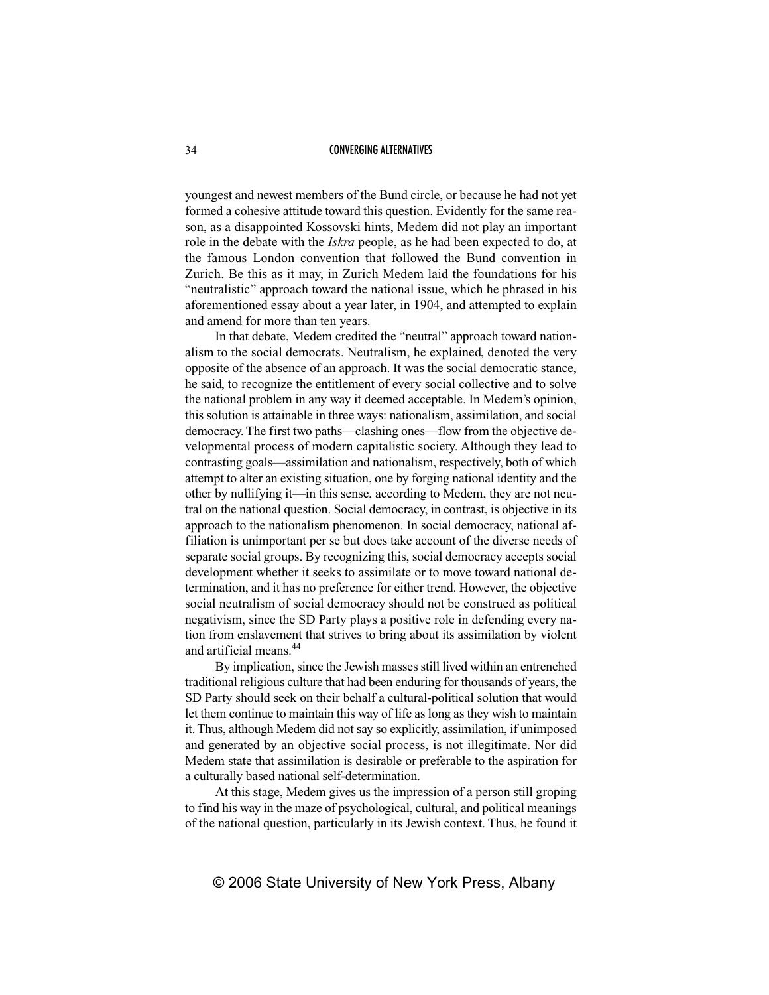youngest and newest members of the Bund circle, or because he had not yet formed a cohesive attitude toward this question. Evidently for the same reason, as a disappointed Kossovski hints, Medem did not play an important role in the debate with the *Iskra* people, as he had been expected to do, at the famous London convention that followed the Bund convention in Zurich. Be this as it may, in Zurich Medem laid the foundations for his "neutralistic" approach toward the national issue, which he phrased in his aforementioned essay about a year later, in 1904, and attempted to explain and amend for more than ten years.

In that debate, Medem credited the "neutral" approach toward nationalism to the social democrats. Neutralism, he explained, denoted the very opposite of the absence of an approach. It was the social democratic stance, he said, to recognize the entitlement of every social collective and to solve the national problem in any way it deemed acceptable. In Medem's opinion, this solution is attainable in three ways: nationalism, assimilation, and social democracy. The first two paths—clashing ones—flow from the objective developmental process of modern capitalistic society. Although they lead to contrasting goals—assimilation and nationalism, respectively, both of which attempt to alter an existing situation, one by forging national identity and the other by nullifying it—in this sense, according to Medem, they are not neutral on the national question. Social democracy, in contrast, is objective in its approach to the nationalism phenomenon. In social democracy, national affiliation is unimportant per se but does take account of the diverse needs of separate social groups. By recognizing this, social democracy accepts social development whether it seeks to assimilate or to move toward national determination, and it has no preference for either trend. However, the objective social neutralism of social democracy should not be construed as political negativism, since the SD Party plays a positive role in defending every nation from enslavement that strives to bring about its assimilation by violent and artificial means.<sup>44</sup>

By implication, since the Jewish masses still lived within an entrenched traditional religious culture that had been enduring for thousands of years, the SD Party should seek on their behalf a cultural-political solution that would let them continue to maintain this way of life as long as they wish to maintain it. Thus, although Medem did not say so explicitly, assimilation, if unimposed and generated by an objective social process, is not illegitimate. Nor did Medem state that assimilation is desirable or preferable to the aspiration for a culturally based national self-determination.

At this stage, Medem gives us the impression of a person still groping to find his way in the maze of psychological, cultural, and political meanings of the national question, particularly in its Jewish context. Thus, he found it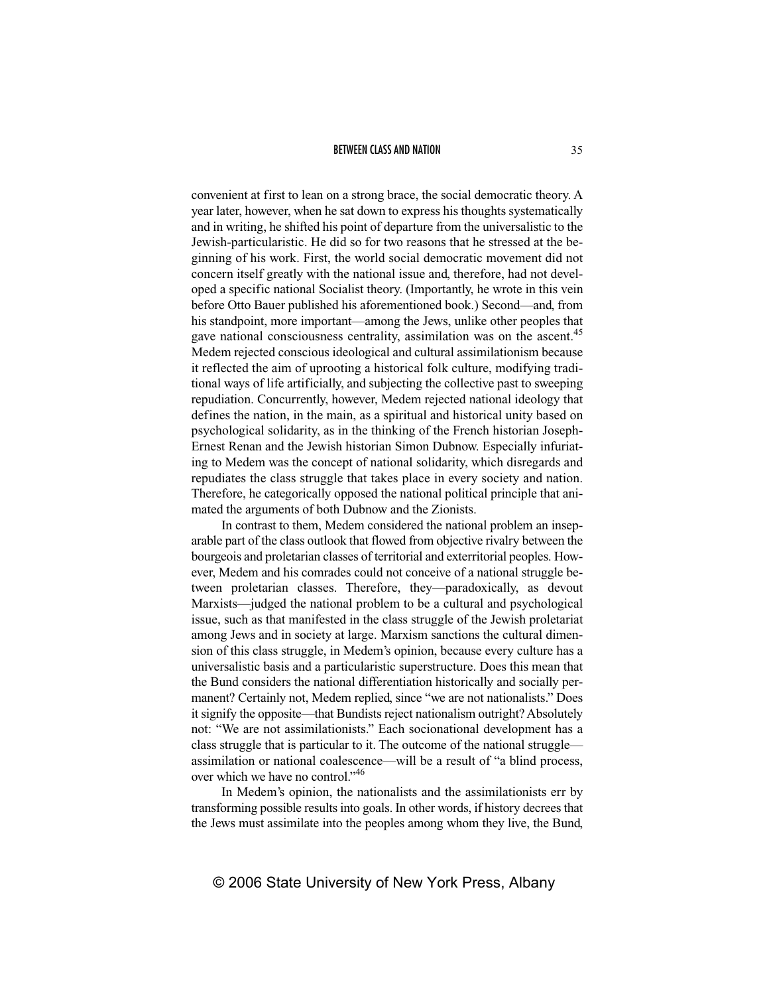convenient at first to lean on a strong brace, the social democratic theory. A year later, however, when he sat down to express his thoughts systematically and in writing, he shifted his point of departure from the universalistic to the Jewish-particularistic. He did so for two reasons that he stressed at the beginning of his work. First, the world social democratic movement did not concern itself greatly with the national issue and, therefore, had not developed a specific national Socialist theory. (Importantly, he wrote in this vein before Otto Bauer published his aforementioned book.) Second—and, from his standpoint, more important—among the Jews, unlike other peoples that gave national consciousness centrality, assimilation was on the ascent.<sup>45</sup> Medem rejected conscious ideological and cultural assimilationism because it reflected the aim of uprooting a historical folk culture, modifying traditional ways of life artificially, and subjecting the collective past to sweeping repudiation. Concurrently, however, Medem rejected national ideology that defines the nation, in the main, as a spiritual and historical unity based on psychological solidarity, as in the thinking of the French historian Joseph-Ernest Renan and the Jewish historian Simon Dubnow. Especially infuriating to Medem was the concept of national solidarity, which disregards and repudiates the class struggle that takes place in every society and nation. Therefore, he categorically opposed the national political principle that animated the arguments of both Dubnow and the Zionists.

In contrast to them, Medem considered the national problem an inseparable part of the class outlook that flowed from objective rivalry between the bourgeois and proletarian classes of territorial and exterritorial peoples. However, Medem and his comrades could not conceive of a national struggle between proletarian classes. Therefore, they—paradoxically, as devout Marxists—judged the national problem to be a cultural and psychological issue, such as that manifested in the class struggle of the Jewish proletariat among Jews and in society at large. Marxism sanctions the cultural dimension of this class struggle, in Medem's opinion, because every culture has a universalistic basis and a particularistic superstructure. Does this mean that the Bund considers the national differentiation historically and socially permanent? Certainly not, Medem replied, since "we are not nationalists." Does it signify the opposite—that Bundists reject nationalism outright? Absolutely not: "We are not assimilationists." Each socionational development has a class struggle that is particular to it. The outcome of the national struggle assimilation or national coalescence—will be a result of "a blind process, over which we have no control."46

In Medem's opinion, the nationalists and the assimilationists err by transforming possible results into goals. In other words, if history decrees that the Jews must assimilate into the peoples among whom they live, the Bund,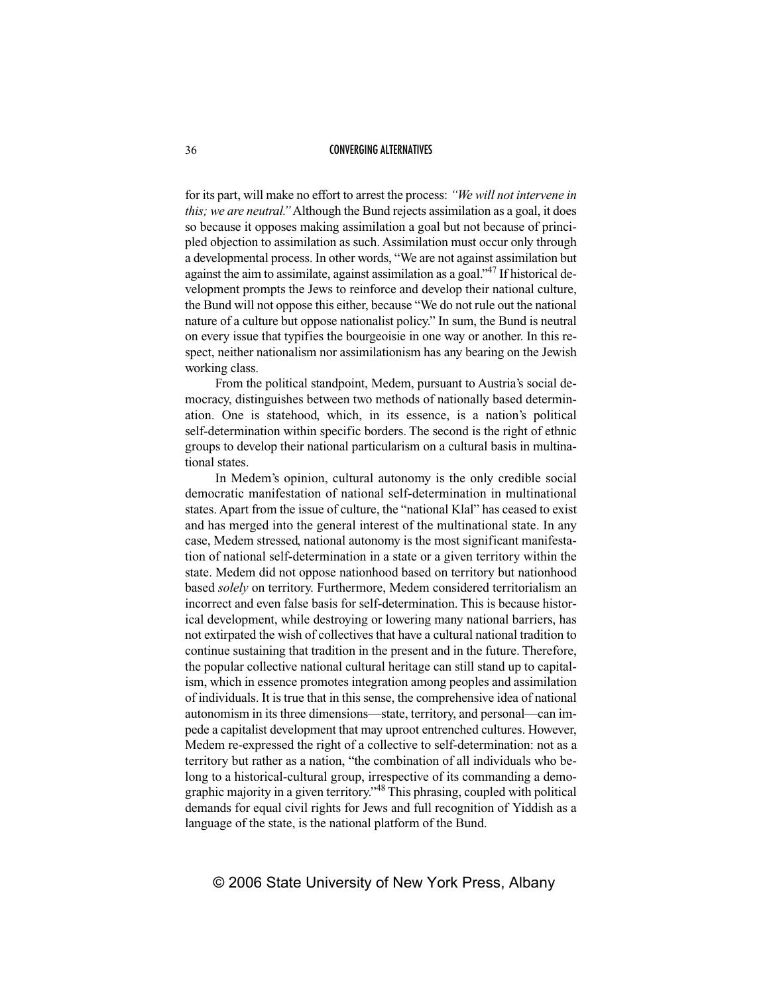for its part, will make no effort to arrest the process: *"We will not intervene in this; we are neutral."*Although the Bund rejects assimilation as a goal, it does so because it opposes making assimilation a goal but not because of principled objection to assimilation as such. Assimilation must occur only through a developmental process. In other words, "We are not against assimilation but against the aim to assimilate, against assimilation as a goal."<sup>47</sup> If historical development prompts the Jews to reinforce and develop their national culture, the Bund will not oppose this either, because "We do not rule out the national nature of a culture but oppose nationalist policy." In sum, the Bund is neutral on every issue that typifies the bourgeoisie in one way or another. In this respect, neither nationalism nor assimilationism has any bearing on the Jewish working class.

From the political standpoint, Medem, pursuant to Austria's social democracy, distinguishes between two methods of nationally based determination. One is statehood, which, in its essence, is a nation's political self-determination within specific borders. The second is the right of ethnic groups to develop their national particularism on a cultural basis in multinational states.

In Medem's opinion, cultural autonomy is the only credible social democratic manifestation of national self-determination in multinational states. Apart from the issue of culture, the "national Klal" has ceased to exist and has merged into the general interest of the multinational state. In any case, Medem stressed, national autonomy is the most significant manifestation of national self-determination in a state or a given territory within the state. Medem did not oppose nationhood based on territory but nationhood based *solely* on territory. Furthermore, Medem considered territorialism an incorrect and even false basis for self-determination. This is because historical development, while destroying or lowering many national barriers, has not extirpated the wish of collectives that have a cultural national tradition to continue sustaining that tradition in the present and in the future. Therefore, the popular collective national cultural heritage can still stand up to capitalism, which in essence promotes integration among peoples and assimilation of individuals. It is true that in this sense, the comprehensive idea of national autonomism in its three dimensions—state, territory, and personal—can impede a capitalist development that may uproot entrenched cultures. However, Medem re-expressed the right of a collective to self-determination: not as a territory but rather as a nation, "the combination of all individuals who belong to a historical-cultural group, irrespective of its commanding a demographic majority in a given territory."48 This phrasing, coupled with political demands for equal civil rights for Jews and full recognition of Yiddish as a language of the state, is the national platform of the Bund.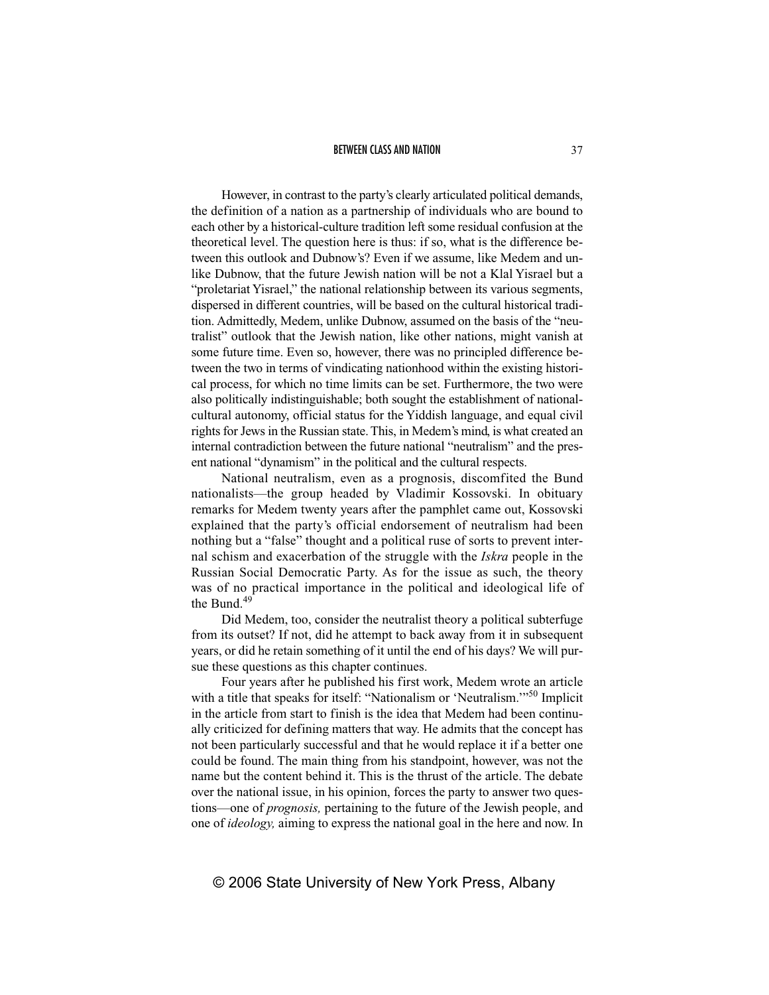However, in contrast to the party's clearly articulated political demands, the definition of a nation as a partnership of individuals who are bound to each other by a historical-culture tradition left some residual confusion at the theoretical level. The question here is thus: if so, what is the difference between this outlook and Dubnow's? Even if we assume, like Medem and unlike Dubnow, that the future Jewish nation will be not a Klal Yisrael but a "proletariat Yisrael," the national relationship between its various segments, dispersed in different countries, will be based on the cultural historical tradition. Admittedly, Medem, unlike Dubnow, assumed on the basis of the "neutralist" outlook that the Jewish nation, like other nations, might vanish at some future time. Even so, however, there was no principled difference between the two in terms of vindicating nationhood within the existing historical process, for which no time limits can be set. Furthermore, the two were also politically indistinguishable; both sought the establishment of nationalcultural autonomy, official status for the Yiddish language, and equal civil rights for Jews in the Russian state. This, in Medem's mind, is what created an internal contradiction between the future national "neutralism" and the present national "dynamism" in the political and the cultural respects.

National neutralism, even as a prognosis, discomfited the Bund nationalists—the group headed by Vladimir Kossovski. In obituary remarks for Medem twenty years after the pamphlet came out, Kossovski explained that the party's official endorsement of neutralism had been nothing but a "false" thought and a political ruse of sorts to prevent internal schism and exacerbation of the struggle with the *Iskra* people in the Russian Social Democratic Party. As for the issue as such, the theory was of no practical importance in the political and ideological life of the Bund.<sup>49</sup>

Did Medem, too, consider the neutralist theory a political subterfuge from its outset? If not, did he attempt to back away from it in subsequent years, or did he retain something of it until the end of his days? We will pursue these questions as this chapter continues.

Four years after he published his first work, Medem wrote an article with a title that speaks for itself: "Nationalism or 'Neutralism.'"50 Implicit in the article from start to finish is the idea that Medem had been continually criticized for defining matters that way. He admits that the concept has not been particularly successful and that he would replace it if a better one could be found. The main thing from his standpoint, however, was not the name but the content behind it. This is the thrust of the article. The debate over the national issue, in his opinion, forces the party to answer two questions—one of *prognosis,* pertaining to the future of the Jewish people, and one of *ideology,* aiming to express the national goal in the here and now. In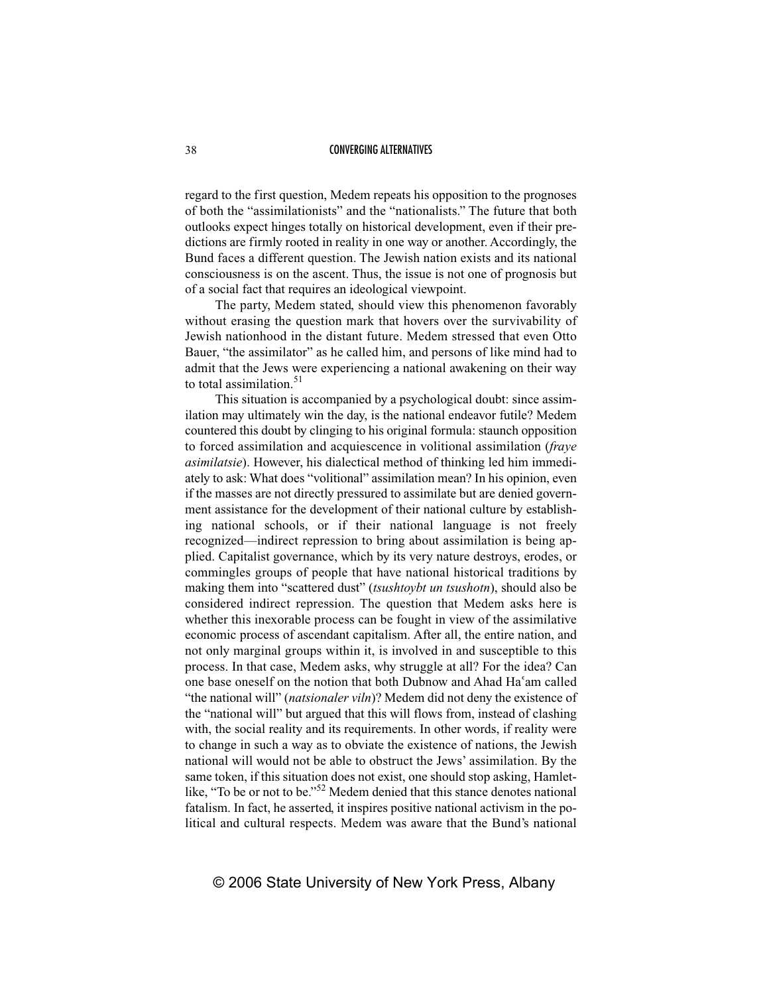regard to the first question, Medem repeats his opposition to the prognoses of both the "assimilationists" and the "nationalists." The future that both outlooks expect hinges totally on historical development, even if their predictions are firmly rooted in reality in one way or another. Accordingly, the Bund faces a different question. The Jewish nation exists and its national consciousness is on the ascent. Thus, the issue is not one of prognosis but of a social fact that requires an ideological viewpoint.

The party, Medem stated, should view this phenomenon favorably without erasing the question mark that hovers over the survivability of Jewish nationhood in the distant future. Medem stressed that even Otto Bauer, "the assimilator" as he called him, and persons of like mind had to admit that the Jews were experiencing a national awakening on their way to total assimilation.<sup>51</sup>

This situation is accompanied by a psychological doubt: since assimilation may ultimately win the day, is the national endeavor futile? Medem countered this doubt by clinging to his original formula: staunch opposition to forced assimilation and acquiescence in volitional assimilation (*fraye asimilatsie*). However, his dialectical method of thinking led him immediately to ask: What does "volitional" assimilation mean? In his opinion, even if the masses are not directly pressured to assimilate but are denied government assistance for the development of their national culture by establishing national schools, or if their national language is not freely recognized—indirect repression to bring about assimilation is being applied. Capitalist governance, which by its very nature destroys, erodes, or commingles groups of people that have national historical traditions by making them into "scattered dust" (*tsushtoybt un tsushotn*), should also be considered indirect repression. The question that Medem asks here is whether this inexorable process can be fought in view of the assimilative economic process of ascendant capitalism. After all, the entire nation, and not only marginal groups within it, is involved in and susceptible to this process. In that case, Medem asks, why struggle at all? For the idea? Can one base oneself on the notion that both Dubnow and Ahad Ha'am called "the national will" (*natsionaler viln*)? Medem did not deny the existence of the "national will" but argued that this will flows from, instead of clashing with, the social reality and its requirements. In other words, if reality were to change in such a way as to obviate the existence of nations, the Jewish national will would not be able to obstruct the Jews' assimilation. By the same token, if this situation does not exist, one should stop asking, Hamletlike, "To be or not to be."<sup>52</sup> Medem denied that this stance denotes national fatalism. In fact, he asserted, it inspires positive national activism in the political and cultural respects. Medem was aware that the Bund's national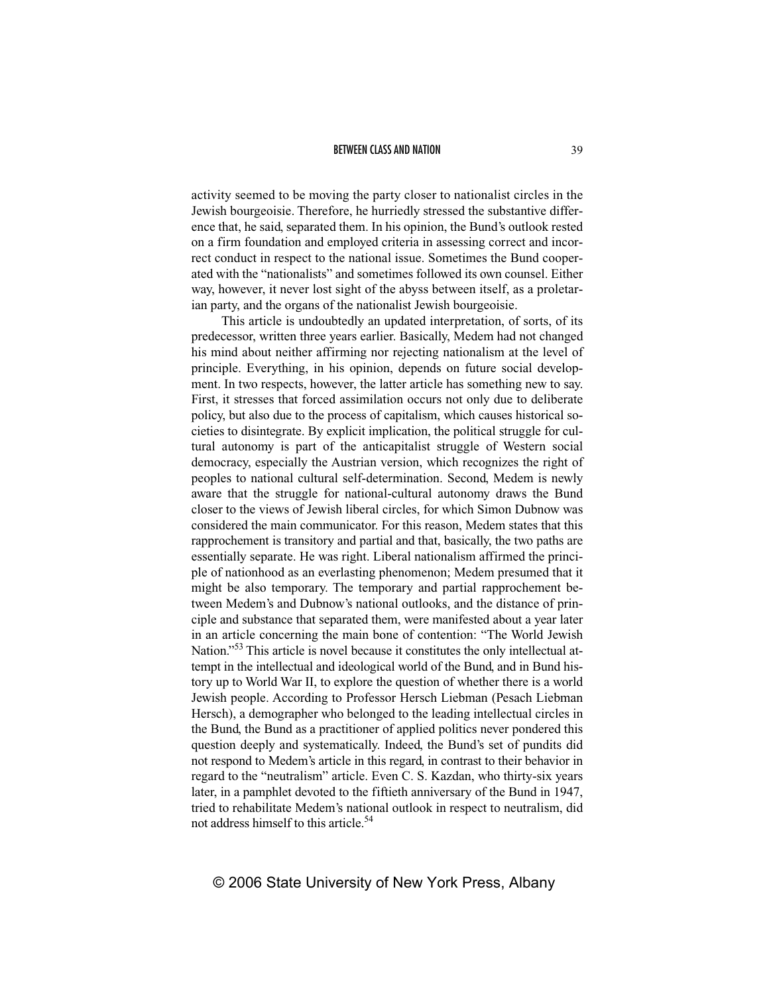activity seemed to be moving the party closer to nationalist circles in the Jewish bourgeoisie. Therefore, he hurriedly stressed the substantive difference that, he said, separated them. In his opinion, the Bund's outlook rested on a firm foundation and employed criteria in assessing correct and incorrect conduct in respect to the national issue. Sometimes the Bund cooperated with the "nationalists" and sometimes followed its own counsel. Either way, however, it never lost sight of the abyss between itself, as a proletarian party, and the organs of the nationalist Jewish bourgeoisie.

This article is undoubtedly an updated interpretation, of sorts, of its predecessor, written three years earlier. Basically, Medem had not changed his mind about neither affirming nor rejecting nationalism at the level of principle. Everything, in his opinion, depends on future social development. In two respects, however, the latter article has something new to say. First, it stresses that forced assimilation occurs not only due to deliberate policy, but also due to the process of capitalism, which causes historical societies to disintegrate. By explicit implication, the political struggle for cultural autonomy is part of the anticapitalist struggle of Western social democracy, especially the Austrian version, which recognizes the right of peoples to national cultural self-determination. Second, Medem is newly aware that the struggle for national-cultural autonomy draws the Bund closer to the views of Jewish liberal circles, for which Simon Dubnow was considered the main communicator. For this reason, Medem states that this rapprochement is transitory and partial and that, basically, the two paths are essentially separate. He was right. Liberal nationalism affirmed the principle of nationhood as an everlasting phenomenon; Medem presumed that it might be also temporary. The temporary and partial rapprochement between Medem's and Dubnow's national outlooks, and the distance of principle and substance that separated them, were manifested about a year later in an article concerning the main bone of contention: "The World Jewish Nation."<sup>53</sup> This article is novel because it constitutes the only intellectual attempt in the intellectual and ideological world of the Bund, and in Bund history up to World War II, to explore the question of whether there is a world Jewish people. According to Professor Hersch Liebman (Pesach Liebman Hersch), a demographer who belonged to the leading intellectual circles in the Bund, the Bund as a practitioner of applied politics never pondered this question deeply and systematically. Indeed, the Bund's set of pundits did not respond to Medem's article in this regard, in contrast to their behavior in regard to the "neutralism" article. Even C. S. Kazdan, who thirty-six years later, in a pamphlet devoted to the fiftieth anniversary of the Bund in 1947, tried to rehabilitate Medem's national outlook in respect to neutralism, did not address himself to this article.<sup>54</sup>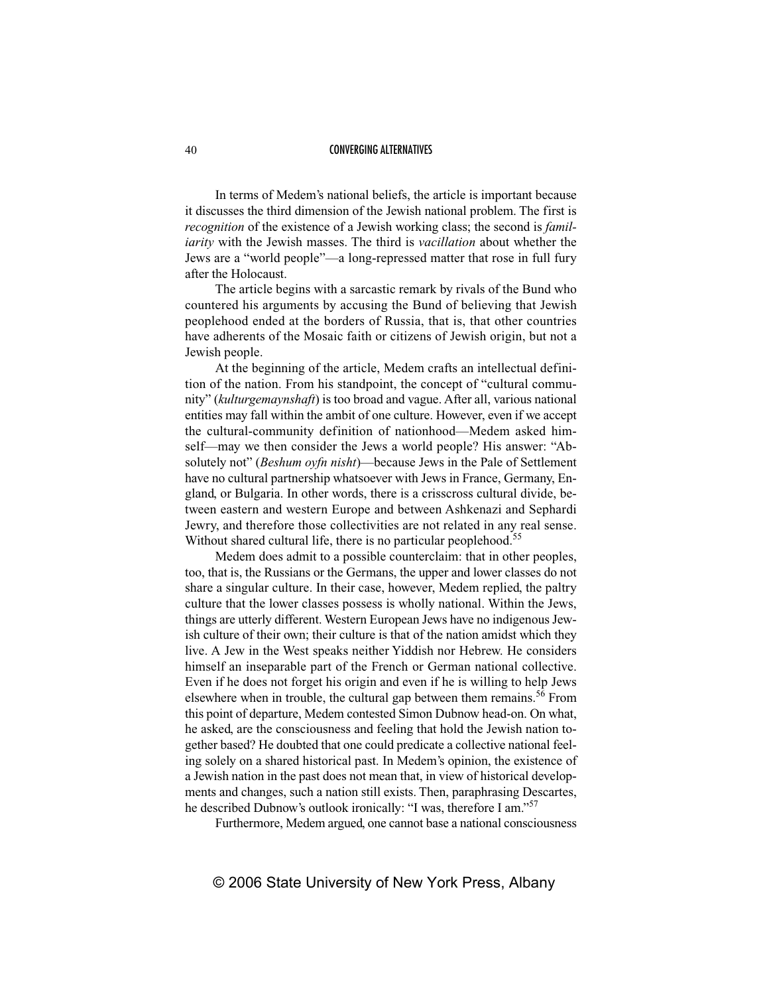In terms of Medem's national beliefs, the article is important because it discusses the third dimension of the Jewish national problem. The first is *recognition* of the existence of a Jewish working class; the second is *familiarity* with the Jewish masses. The third is *vacillation* about whether the Jews are a "world people"—a long-repressed matter that rose in full fury after the Holocaust.

The article begins with a sarcastic remark by rivals of the Bund who countered his arguments by accusing the Bund of believing that Jewish peoplehood ended at the borders of Russia, that is, that other countries have adherents of the Mosaic faith or citizens of Jewish origin, but not a Jewish people.

At the beginning of the article, Medem crafts an intellectual definition of the nation. From his standpoint, the concept of "cultural community" (*kulturgemaynshaft*) is too broad and vague. After all, various national entities may fall within the ambit of one culture. However, even if we accept the cultural-community definition of nationhood—Medem asked himself—may we then consider the Jews a world people? His answer: "Absolutely not" (*Beshum oyfn nisht*)—because Jews in the Pale of Settlement have no cultural partnership whatsoever with Jews in France, Germany, England, or Bulgaria. In other words, there is a crisscross cultural divide, between eastern and western Europe and between Ashkenazi and Sephardi Jewry, and therefore those collectivities are not related in any real sense. Without shared cultural life, there is no particular peoplehood.<sup>55</sup>

Medem does admit to a possible counterclaim: that in other peoples, too, that is, the Russians or the Germans, the upper and lower classes do not share a singular culture. In their case, however, Medem replied, the paltry culture that the lower classes possess is wholly national. Within the Jews, things are utterly different. Western European Jews have no indigenous Jewish culture of their own; their culture is that of the nation amidst which they live. A Jew in the West speaks neither Yiddish nor Hebrew. He considers himself an inseparable part of the French or German national collective. Even if he does not forget his origin and even if he is willing to help Jews elsewhere when in trouble, the cultural gap between them remains.<sup>56</sup> From this point of departure, Medem contested Simon Dubnow head-on. On what, he asked, are the consciousness and feeling that hold the Jewish nation together based? He doubted that one could predicate a collective national feeling solely on a shared historical past. In Medem's opinion, the existence of a Jewish nation in the past does not mean that, in view of historical developments and changes, such a nation still exists. Then, paraphrasing Descartes, he described Dubnow's outlook ironically: "I was, therefore I am."<sup>57</sup>

Furthermore, Medem argued, one cannot base a national consciousness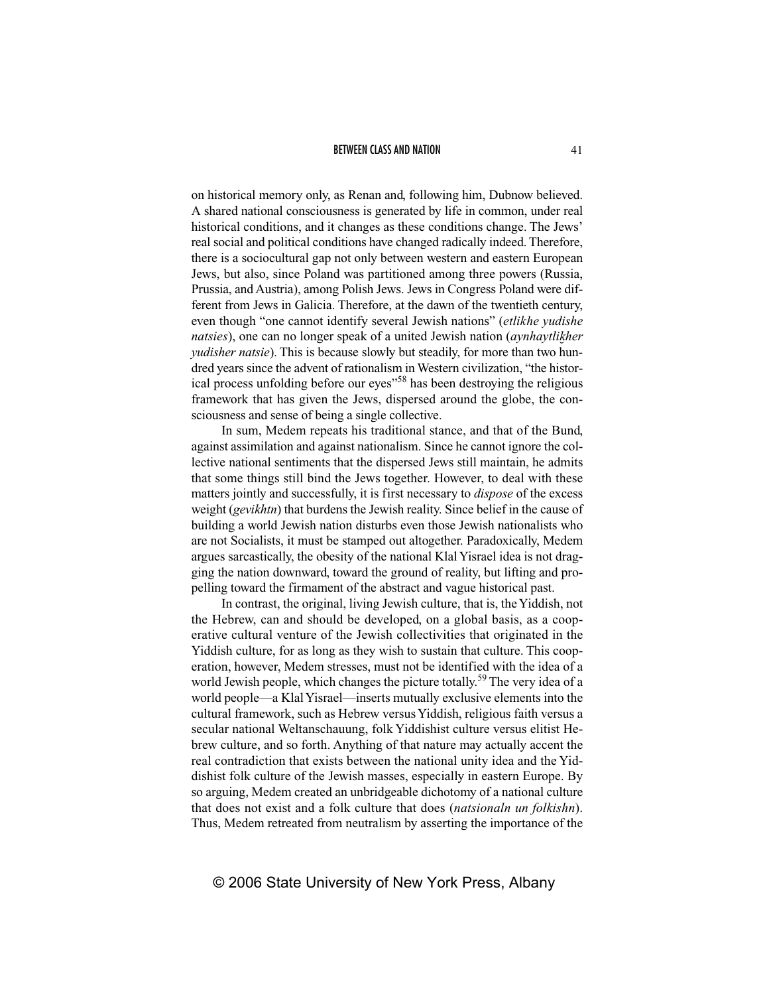on historical memory only, as Renan and, following him, Dubnow believed. A shared national consciousness is generated by life in common, under real historical conditions, and it changes as these conditions change. The Jews' real social and political conditions have changed radically indeed. Therefore, there is a sociocultural gap not only between western and eastern European Jews, but also, since Poland was partitioned among three powers (Russia, Prussia, and Austria), among Polish Jews. Jews in Congress Poland were different from Jews in Galicia. Therefore, at the dawn of the twentieth century, even though "one cannot identify several Jewish nations" (*etlikhe yudishe natsies*), one can no longer speak of a united Jewish nation (*aynhaytlikher yudisher natsie*). This is because slowly but steadily, for more than two hundred years since the advent of rationalism in Western civilization, "the historical process unfolding before our eyes"<sup>58</sup> has been destroying the religious framework that has given the Jews, dispersed around the globe, the consciousness and sense of being a single collective.

In sum, Medem repeats his traditional stance, and that of the Bund, against assimilation and against nationalism. Since he cannot ignore the collective national sentiments that the dispersed Jews still maintain, he admits that some things still bind the Jews together. However, to deal with these matters jointly and successfully, it is first necessary to *dispose* of the excess weight (*gevikhtn*) that burdens the Jewish reality. Since belief in the cause of building a world Jewish nation disturbs even those Jewish nationalists who are not Socialists, it must be stamped out altogether. Paradoxically, Medem argues sarcastically, the obesity of the national Klal Yisrael idea is not dragging the nation downward, toward the ground of reality, but lifting and propelling toward the firmament of the abstract and vague historical past.

In contrast, the original, living Jewish culture, that is, the Yiddish, not the Hebrew, can and should be developed, on a global basis, as a cooperative cultural venture of the Jewish collectivities that originated in the Yiddish culture, for as long as they wish to sustain that culture. This cooperation, however, Medem stresses, must not be identified with the idea of a world Jewish people, which changes the picture totally.<sup>59</sup> The very idea of a world people—a Klal Yisrael—inserts mutually exclusive elements into the cultural framework, such as Hebrew versus Yiddish, religious faith versus a secular national Weltanschauung, folk Yiddishist culture versus elitist Hebrew culture, and so forth. Anything of that nature may actually accent the real contradiction that exists between the national unity idea and the Yiddishist folk culture of the Jewish masses, especially in eastern Europe. By so arguing, Medem created an unbridgeable dichotomy of a national culture that does not exist and a folk culture that does (*natsionaln un folkishn*). Thus, Medem retreated from neutralism by asserting the importance of the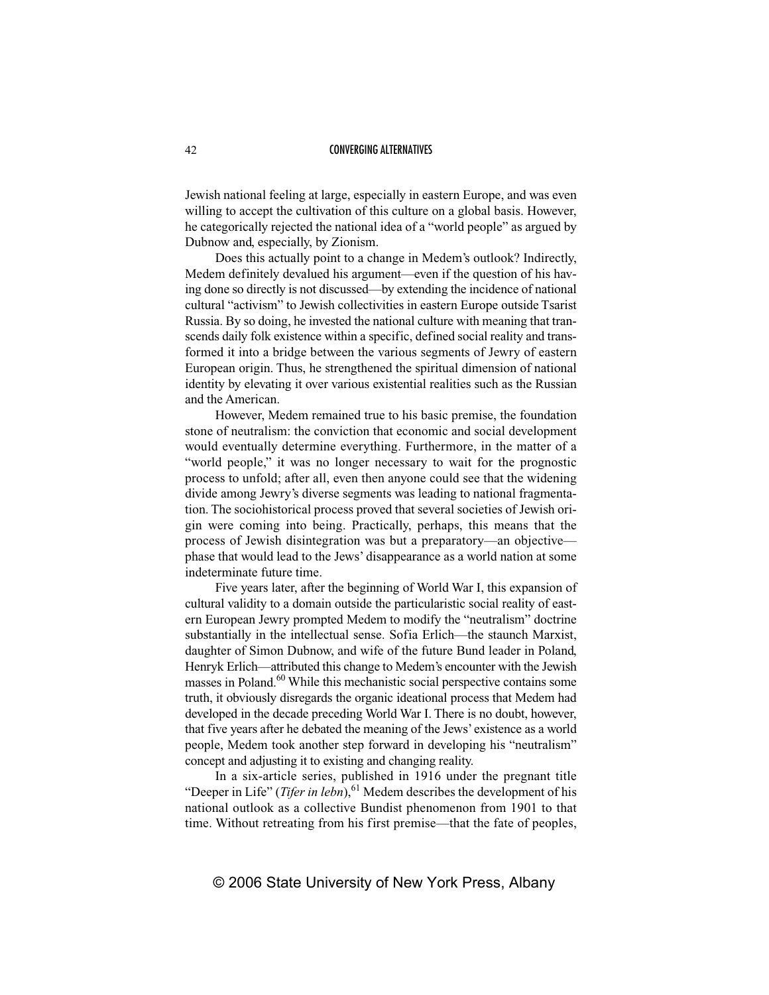Jewish national feeling at large, especially in eastern Europe, and was even willing to accept the cultivation of this culture on a global basis. However, he categorically rejected the national idea of a "world people" as argued by Dubnow and, especially, by Zionism.

Does this actually point to a change in Medem's outlook? Indirectly, Medem definitely devalued his argument—even if the question of his having done so directly is not discussed—by extending the incidence of national cultural "activism" to Jewish collectivities in eastern Europe outside Tsarist Russia. By so doing, he invested the national culture with meaning that transcends daily folk existence within a specific, defined social reality and transformed it into a bridge between the various segments of Jewry of eastern European origin. Thus, he strengthened the spiritual dimension of national identity by elevating it over various existential realities such as the Russian and the American.

However, Medem remained true to his basic premise, the foundation stone of neutralism: the conviction that economic and social development would eventually determine everything. Furthermore, in the matter of a "world people," it was no longer necessary to wait for the prognostic process to unfold; after all, even then anyone could see that the widening divide among Jewry's diverse segments was leading to national fragmentation. The sociohistorical process proved that several societies of Jewish origin were coming into being. Practically, perhaps, this means that the process of Jewish disintegration was but a preparatory—an objective phase that would lead to the Jews' disappearance as a world nation at some indeterminate future time.

Five years later, after the beginning of World War I, this expansion of cultural validity to a domain outside the particularistic social reality of eastern European Jewry prompted Medem to modify the "neutralism" doctrine substantially in the intellectual sense. Sofia Erlich—the staunch Marxist, daughter of Simon Dubnow, and wife of the future Bund leader in Poland, Henryk Erlich—attributed this change to Medem's encounter with the Jewish masses in Poland.<sup>60</sup> While this mechanistic social perspective contains some truth, it obviously disregards the organic ideational process that Medem had developed in the decade preceding World War I. There is no doubt, however, that five years after he debated the meaning of the Jews' existence as a world people, Medem took another step forward in developing his "neutralism" concept and adjusting it to existing and changing reality.

In a six-article series, published in 1916 under the pregnant title "Deeper in Life" (*Tifer in lebn*),<sup>61</sup> Medem describes the development of his national outlook as a collective Bundist phenomenon from 1901 to that time. Without retreating from his first premise—that the fate of peoples,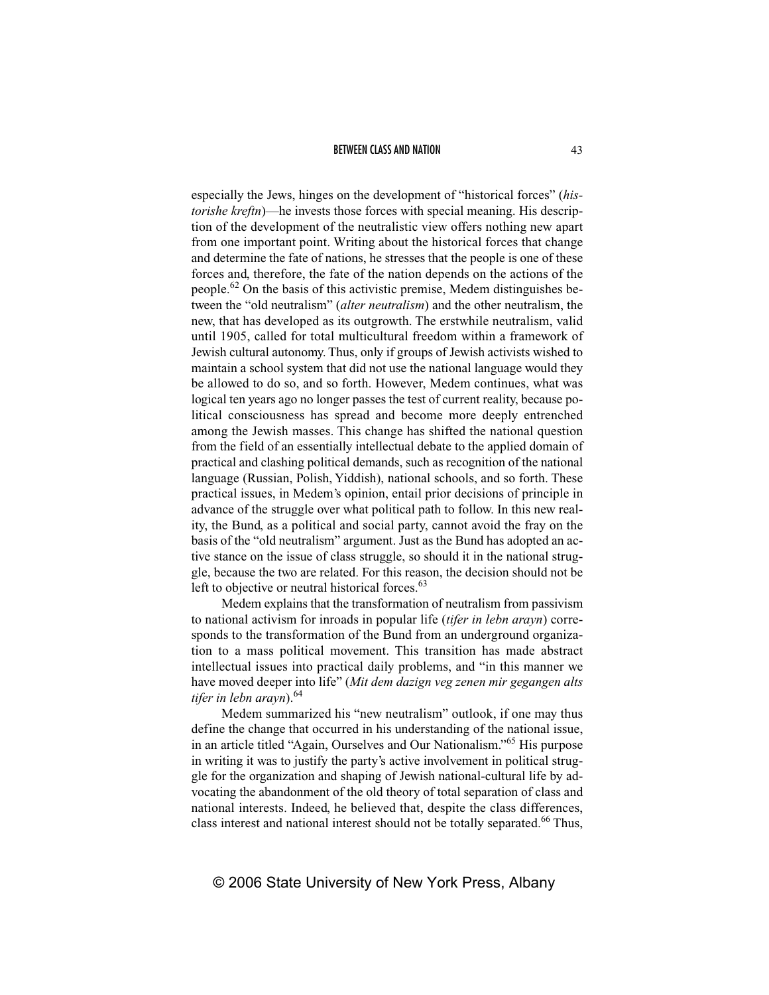especially the Jews, hinges on the development of "historical forces" (*historishe kreftn*)—he invests those forces with special meaning. His description of the development of the neutralistic view offers nothing new apart from one important point. Writing about the historical forces that change and determine the fate of nations, he stresses that the people is one of these forces and, therefore, the fate of the nation depends on the actions of the people.<sup>62</sup> On the basis of this activistic premise, Medem distinguishes between the "old neutralism" (*alter neutralism*) and the other neutralism, the new, that has developed as its outgrowth. The erstwhile neutralism, valid until 1905, called for total multicultural freedom within a framework of Jewish cultural autonomy. Thus, only if groups of Jewish activists wished to maintain a school system that did not use the national language would they be allowed to do so, and so forth. However, Medem continues, what was logical ten years ago no longer passes the test of current reality, because political consciousness has spread and become more deeply entrenched among the Jewish masses. This change has shifted the national question from the field of an essentially intellectual debate to the applied domain of practical and clashing political demands, such as recognition of the national language (Russian, Polish, Yiddish), national schools, and so forth. These practical issues, in Medem's opinion, entail prior decisions of principle in advance of the struggle over what political path to follow. In this new reality, the Bund, as a political and social party, cannot avoid the fray on the basis of the "old neutralism" argument. Just as the Bund has adopted an active stance on the issue of class struggle, so should it in the national struggle, because the two are related. For this reason, the decision should not be left to objective or neutral historical forces.<sup>63</sup>

Medem explains that the transformation of neutralism from passivism to national activism for inroads in popular life (*tifer in lebn arayn*) corresponds to the transformation of the Bund from an underground organization to a mass political movement. This transition has made abstract intellectual issues into practical daily problems, and "in this manner we have moved deeper into life" (*Mit dem dazign veg zenen mir gegangen alts tifer in lebn arayn*).64

Medem summarized his "new neutralism" outlook, if one may thus define the change that occurred in his understanding of the national issue, in an article titled "Again, Ourselves and Our Nationalism."<sup>65</sup> His purpose in writing it was to justify the party's active involvement in political struggle for the organization and shaping of Jewish national-cultural life by advocating the abandonment of the old theory of total separation of class and national interests. Indeed, he believed that, despite the class differences, class interest and national interest should not be totally separated.<sup>66</sup> Thus,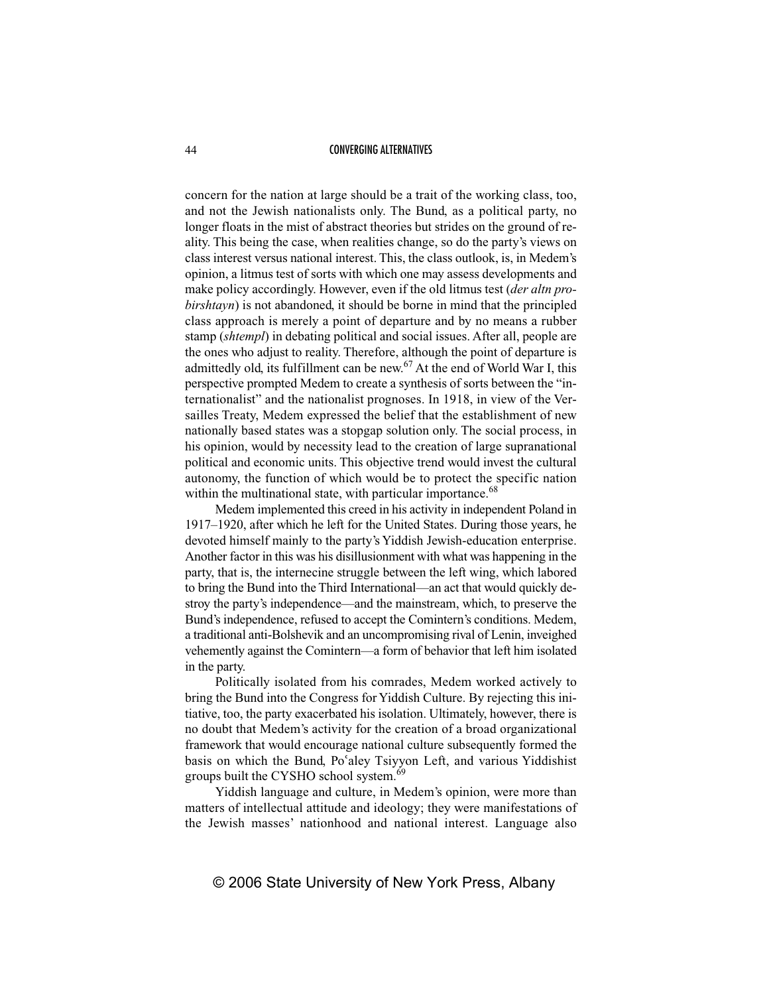concern for the nation at large should be a trait of the working class, too, and not the Jewish nationalists only. The Bund, as a political party, no longer floats in the mist of abstract theories but strides on the ground of reality. This being the case, when realities change, so do the party's views on class interest versus national interest. This, the class outlook, is, in Medem's opinion, a litmus test of sorts with which one may assess developments and make policy accordingly. However, even if the old litmus test (*der altn probirshtayn*) is not abandoned, it should be borne in mind that the principled class approach is merely a point of departure and by no means a rubber stamp (*shtempl*) in debating political and social issues. After all, people are the ones who adjust to reality. Therefore, although the point of departure is admittedly old, its fulfillment can be new. $67$  At the end of World War I, this perspective prompted Medem to create a synthesis of sorts between the "internationalist" and the nationalist prognoses. In 1918, in view of the Versailles Treaty, Medem expressed the belief that the establishment of new nationally based states was a stopgap solution only. The social process, in his opinion, would by necessity lead to the creation of large supranational political and economic units. This objective trend would invest the cultural autonomy, the function of which would be to protect the specific nation within the multinational state, with particular importance.<sup>68</sup>

Medem implemented this creed in his activity in independent Poland in 1917–1920, after which he left for the United States. During those years, he devoted himself mainly to the party's Yiddish Jewish-education enterprise. Another factor in this was his disillusionment with what was happening in the party, that is, the internecine struggle between the left wing, which labored to bring the Bund into the Third International—an act that would quickly destroy the party's independence—and the mainstream, which, to preserve the Bund's independence, refused to accept the Comintern's conditions. Medem, a traditional anti-Bolshevik and an uncompromising rival of Lenin, inveighed vehemently against the Comintern—a form of behavior that left him isolated in the party.

Politically isolated from his comrades, Medem worked actively to bring the Bund into the Congress for Yiddish Culture. By rejecting this initiative, too, the party exacerbated his isolation. Ultimately, however, there is no doubt that Medem's activity for the creation of a broad organizational framework that would encourage national culture subsequently formed the basis on which the Bund, Po'aley Tsiyyon Left, and various Yiddishist groups built the CYSHO school system.<sup>69</sup>

Yiddish language and culture, in Medem's opinion, were more than matters of intellectual attitude and ideology; they were manifestations of the Jewish masses' nationhood and national interest. Language also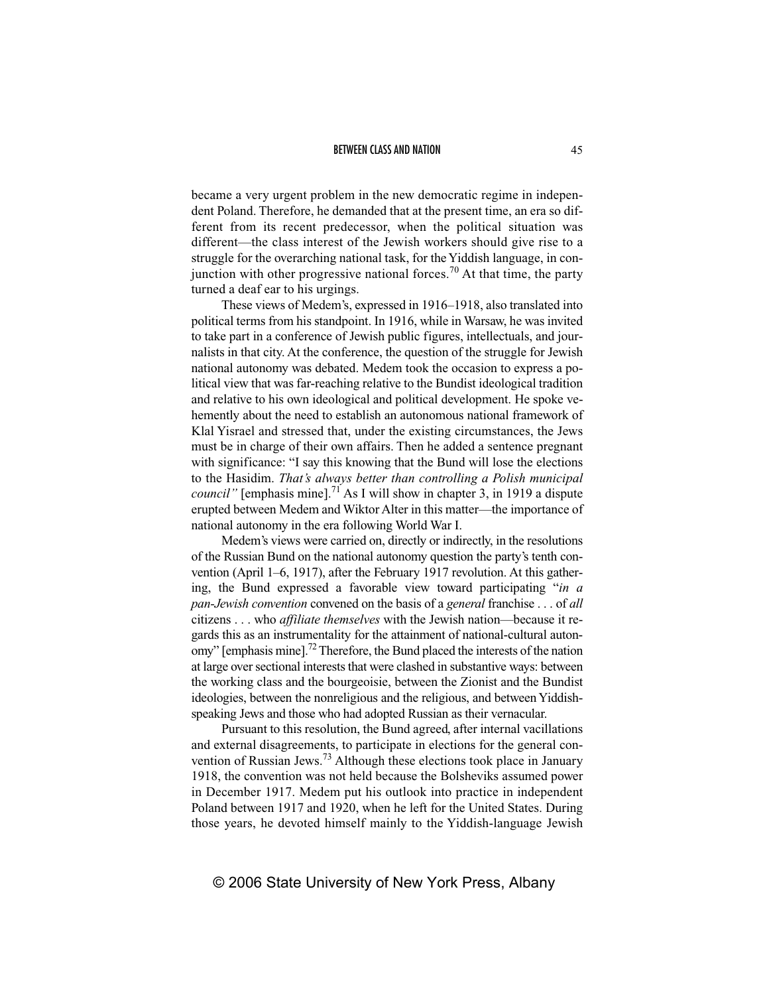became a very urgent problem in the new democratic regime in independent Poland. Therefore, he demanded that at the present time, an era so different from its recent predecessor, when the political situation was different—the class interest of the Jewish workers should give rise to a struggle for the overarching national task, for the Yiddish language, in conjunction with other progressive national forces.<sup>70</sup> At that time, the party turned a deaf ear to his urgings.

These views of Medem's, expressed in 1916–1918, also translated into political terms from his standpoint. In 1916, while in Warsaw, he was invited to take part in a conference of Jewish public figures, intellectuals, and journalists in that city. At the conference, the question of the struggle for Jewish national autonomy was debated. Medem took the occasion to express a political view that was far-reaching relative to the Bundist ideological tradition and relative to his own ideological and political development. He spoke vehemently about the need to establish an autonomous national framework of Klal Yisrael and stressed that, under the existing circumstances, the Jews must be in charge of their own affairs. Then he added a sentence pregnant with significance: "I say this knowing that the Bund will lose the elections to the Hasidim. *That's always better than controlling a Polish municipal council*" [emphasis mine].<sup>71</sup> As I will show in chapter 3, in 1919 a dispute erupted between Medem and Wiktor Alter in this matter—the importance of national autonomy in the era following World War I.

Medem's views were carried on, directly or indirectly, in the resolutions of the Russian Bund on the national autonomy question the party's tenth convention (April 1–6, 1917), after the February 1917 revolution. At this gathering, the Bund expressed a favorable view toward participating "*in a pan-Jewish convention* convened on the basis of a *general* franchise . . . of *all* citizens . . . who *affiliate themselves* with the Jewish nation—because it regards this as an instrumentality for the attainment of national-cultural autonomy" [emphasis mine].<sup>72</sup> Therefore, the Bund placed the interests of the nation at large over sectional interests that were clashed in substantive ways: between the working class and the bourgeoisie, between the Zionist and the Bundist ideologies, between the nonreligious and the religious, and between Yiddishspeaking Jews and those who had adopted Russian as their vernacular.

Pursuant to this resolution, the Bund agreed, after internal vacillations and external disagreements, to participate in elections for the general convention of Russian Jews.<sup>73</sup> Although these elections took place in January 1918, the convention was not held because the Bolsheviks assumed power in December 1917. Medem put his outlook into practice in independent Poland between 1917 and 1920, when he left for the United States. During those years, he devoted himself mainly to the Yiddish-language Jewish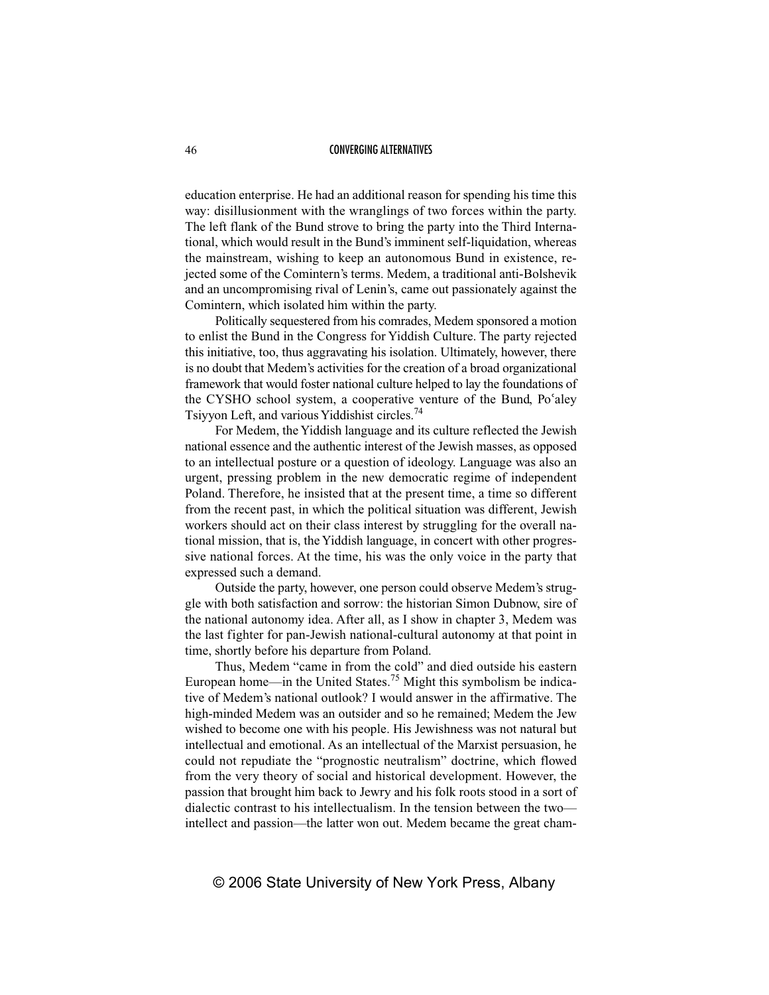education enterprise. He had an additional reason for spending his time this way: disillusionment with the wranglings of two forces within the party. The left flank of the Bund strove to bring the party into the Third International, which would result in the Bund's imminent self-liquidation, whereas the mainstream, wishing to keep an autonomous Bund in existence, rejected some of the Comintern's terms. Medem, a traditional anti-Bolshevik and an uncompromising rival of Lenin's, came out passionately against the Comintern, which isolated him within the party.

Politically sequestered from his comrades, Medem sponsored a motion to enlist the Bund in the Congress for Yiddish Culture. The party rejected this initiative, too, thus aggravating his isolation. Ultimately, however, there is no doubt that Medem's activities for the creation of a broad organizational framework that would foster national culture helped to lay the foundations of the CYSHO school system, a cooperative venture of the Bund, Po'aley Tsiyyon Left, and various Yiddishist circles.<sup>74</sup>

For Medem, the Yiddish language and its culture reflected the Jewish national essence and the authentic interest of the Jewish masses, as opposed to an intellectual posture or a question of ideology. Language was also an urgent, pressing problem in the new democratic regime of independent Poland. Therefore, he insisted that at the present time, a time so different from the recent past, in which the political situation was different, Jewish workers should act on their class interest by struggling for the overall national mission, that is, the Yiddish language, in concert with other progressive national forces. At the time, his was the only voice in the party that expressed such a demand.

Outside the party, however, one person could observe Medem's struggle with both satisfaction and sorrow: the historian Simon Dubnow, sire of the national autonomy idea. After all, as I show in chapter 3, Medem was the last fighter for pan-Jewish national-cultural autonomy at that point in time, shortly before his departure from Poland.

Thus, Medem "came in from the cold" and died outside his eastern European home—in the United States.<sup>75</sup> Might this symbolism be indicative of Medem's national outlook? I would answer in the affirmative. The high-minded Medem was an outsider and so he remained; Medem the Jew wished to become one with his people. His Jewishness was not natural but intellectual and emotional. As an intellectual of the Marxist persuasion, he could not repudiate the "prognostic neutralism" doctrine, which flowed from the very theory of social and historical development. However, the passion that brought him back to Jewry and his folk roots stood in a sort of dialectic contrast to his intellectualism. In the tension between the two intellect and passion—the latter won out. Medem became the great cham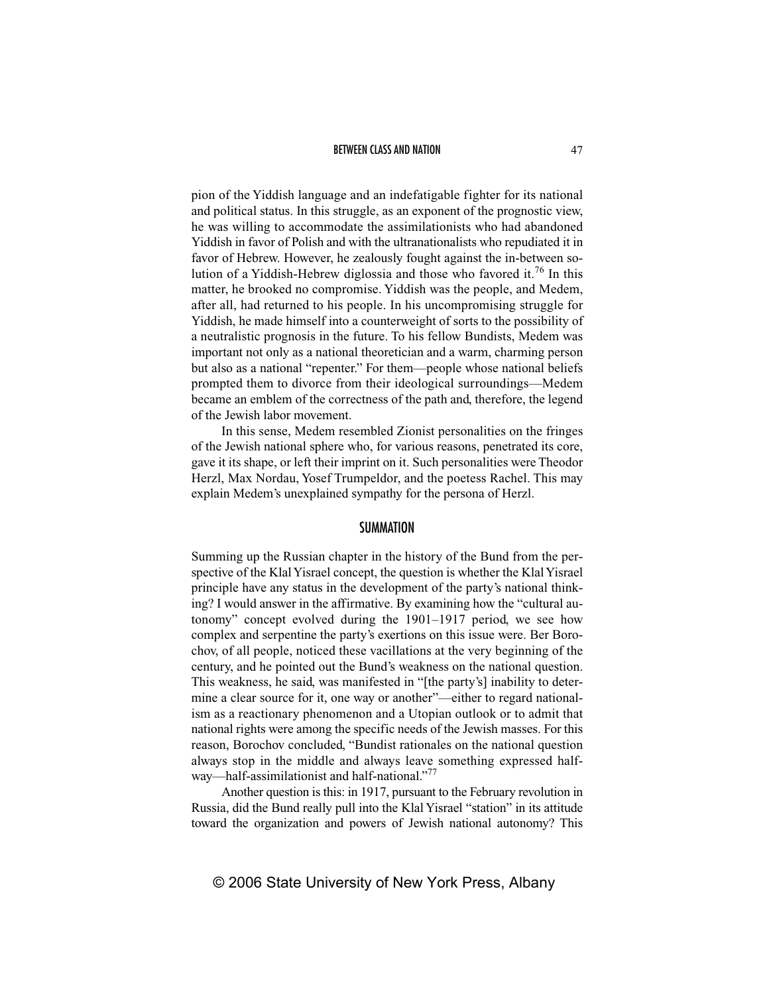pion of the Yiddish language and an indefatigable fighter for its national and political status. In this struggle, as an exponent of the prognostic view, he was willing to accommodate the assimilationists who had abandoned Yiddish in favor of Polish and with the ultranationalists who repudiated it in favor of Hebrew. However, he zealously fought against the in-between solution of a Yiddish-Hebrew diglossia and those who favored it.<sup>76</sup> In this matter, he brooked no compromise. Yiddish was the people, and Medem, after all, had returned to his people. In his uncompromising struggle for Yiddish, he made himself into a counterweight of sorts to the possibility of a neutralistic prognosis in the future. To his fellow Bundists, Medem was important not only as a national theoretician and a warm, charming person but also as a national "repenter." For them—people whose national beliefs prompted them to divorce from their ideological surroundings—Medem became an emblem of the correctness of the path and, therefore, the legend of the Jewish labor movement.

In this sense, Medem resembled Zionist personalities on the fringes of the Jewish national sphere who, for various reasons, penetrated its core, gave it its shape, or left their imprint on it. Such personalities were Theodor Herzl, Max Nordau, Yosef Trumpeldor, and the poetess Rachel. This may explain Medem's unexplained sympathy for the persona of Herzl.

## **SUMMATION**

Summing up the Russian chapter in the history of the Bund from the perspective of the Klal Yisrael concept, the question is whether the Klal Yisrael principle have any status in the development of the party's national thinking? I would answer in the affirmative. By examining how the "cultural autonomy" concept evolved during the 1901–1917 period, we see how complex and serpentine the party's exertions on this issue were. Ber Borochov, of all people, noticed these vacillations at the very beginning of the century, and he pointed out the Bund's weakness on the national question. This weakness, he said, was manifested in "[the party's] inability to determine a clear source for it, one way or another"—either to regard nationalism as a reactionary phenomenon and a Utopian outlook or to admit that national rights were among the specific needs of the Jewish masses. For this reason, Borochov concluded, "Bundist rationales on the national question always stop in the middle and always leave something expressed halfway—half-assimilationist and half-national."<sup>77</sup>

Another question is this: in 1917, pursuant to the February revolution in Russia, did the Bund really pull into the Klal Yisrael "station" in its attitude toward the organization and powers of Jewish national autonomy? This